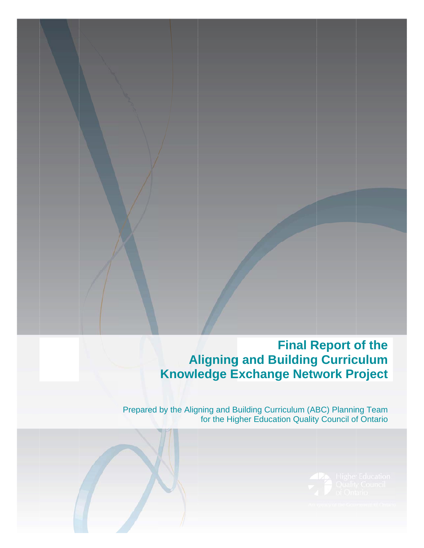#### **A Knowl ligning edge E g and B Exchang Final R uilding ge Netw Report o g Curric work Pr of the culum roject**

Prepared by the Aligning and B for the Hig Building Cur gher Educa rriculum (AB tion Quality BC) Plannin y Council of ng Team f Ontario

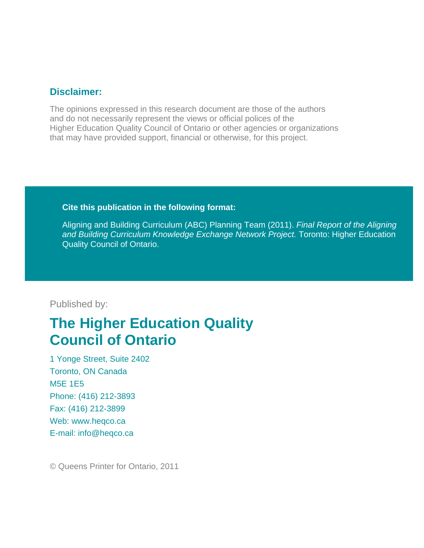### **Disclaimer:**

The opinions expressed in this research document are those of the authors and do not necessarily represent the views or official polices of the Higher Education Quality Council of Ontario or other agencies or organizations that may have provided support, financial or otherwise, for this project.

#### **Cite this publication in the following format:**

Aligning and Building Curriculum (ABC) Planning Team (2011). *Final Report of the Aligning and Building Curriculum Knowledge Exchange Network Project.* Toronto: Higher Education Quality Council of Ontario.

### Published by:

# **The Higher Education Quality Council of Ontario**

1 Yonge Street, Suite 2402 Toronto, ON Canada M5E 1E5 Phone: (416) 212-3893 Fax: (416) 212-3899 Web: www.heqco.ca E-mail: info@heqco.ca

© Queens Printer for Ontario, 2011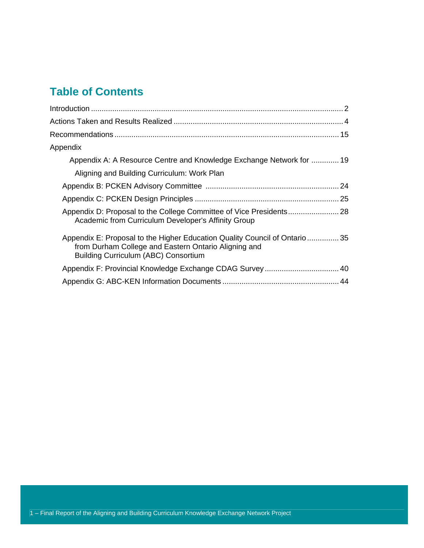## **Table of Contents**

| Appendix                                                                                                                                                                         |
|----------------------------------------------------------------------------------------------------------------------------------------------------------------------------------|
| Appendix A: A Resource Centre and Knowledge Exchange Network for  19                                                                                                             |
| Aligning and Building Curriculum: Work Plan                                                                                                                                      |
|                                                                                                                                                                                  |
|                                                                                                                                                                                  |
| Academic from Curriculum Developer's Affinity Group                                                                                                                              |
| Appendix E: Proposal to the Higher Education Quality Council of Ontario35<br>from Durham College and Eastern Ontario Aligning and<br><b>Building Curriculum (ABC) Consortium</b> |
|                                                                                                                                                                                  |
|                                                                                                                                                                                  |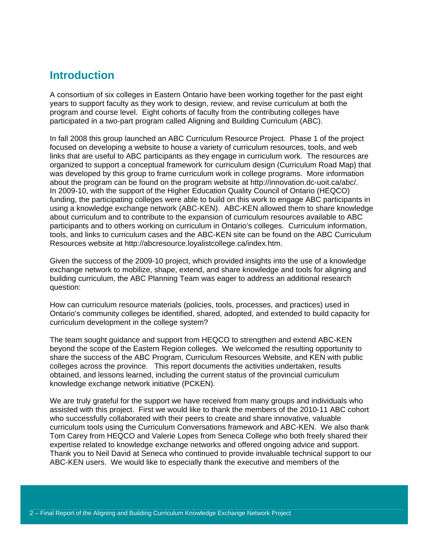### **Introduction**

A consortium of six colleges in Eastern Ontario have been working together for the past eight years to support faculty as they work to design, review, and revise curriculum at both the program and course level. Eight cohorts of faculty from the contributing colleges have participated in a two-part program called Aligning and Building Curriculum (ABC).

In fall 2008 this group launched an ABC Curriculum Resource Project. Phase 1 of the project focused on developing a website to house a variety of curriculum resources, tools, and web links that are useful to ABC participants as they engage in curriculum work. The resources are organized to support a conceptual framework for curriculum design (Curriculum Road Map) that was developed by this group to frame curriculum work in college programs. More information about the program can be found on the program website at http://innovation.dc-uoit.ca/abc/. In 2009-10, with the support of the Higher Education Quality Council of Ontario (HEQCO) funding, the participating colleges were able to build on this work to engage ABC participants in using a knowledge exchange network (ABC-KEN). ABC-KEN allowed them to share knowledge about curriculum and to contribute to the expansion of curriculum resources available to ABC participants and to others working on curriculum in Ontario's colleges. Curriculum information, tools, and links to curriculum cases and the ABC-KEN site can be found on the ABC Curriculum Resources website at http://abcresource.loyalistcollege.ca/index.htm.

Given the success of the 2009-10 project, which provided insights into the use of a knowledge exchange network to mobilize, shape, extend, and share knowledge and tools for aligning and building curriculum, the ABC Planning Team was eager to address an additional research question:

How can curriculum resource materials (policies, tools, processes, and practices) used in Ontario's community colleges be identified, shared, adopted, and extended to build capacity for curriculum development in the college system?

The team sought guidance and support from HEQCO to strengthen and extend ABC-KEN beyond the scope of the Eastern Region colleges. We welcomed the resulting opportunity to share the success of the ABC Program, Curriculum Resources Website, and KEN with public colleges across the province. This report documents the activities undertaken, results obtained, and lessons learned, including the current status of the provincial curriculum knowledge exchange network initiative (PCKEN).

We are truly grateful for the support we have received from many groups and individuals who assisted with this project. First we would like to thank the members of the 2010-11 ABC cohort who successfully collaborated with their peers to create and share innovative, valuable curriculum tools using the Curriculum Conversations framework and ABC-KEN. We also thank Tom Carey from HEQCO and Valerie Lopes from Seneca College who both freely shared their expertise related to knowledge exchange networks and offered ongoing advice and support. Thank you to Neil David at Seneca who continued to provide invaluable technical support to our ABC-KEN users. We would like to especially thank the executive and members of the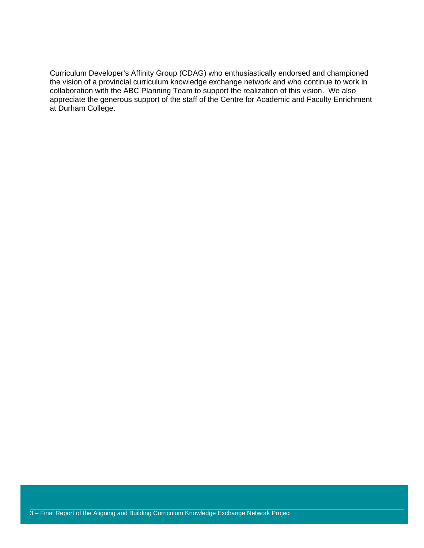Curriculum Developer's Affinity Group (CDAG) who enthusiastically endorsed and championed the vision of a provincial curriculum knowledge exchange network and who continue to work in collaboration with the ABC Planning Team to support the realization of this vision. We also appreciate the generous support of the staff of the Centre for Academic and Faculty Enrichment at Durham College.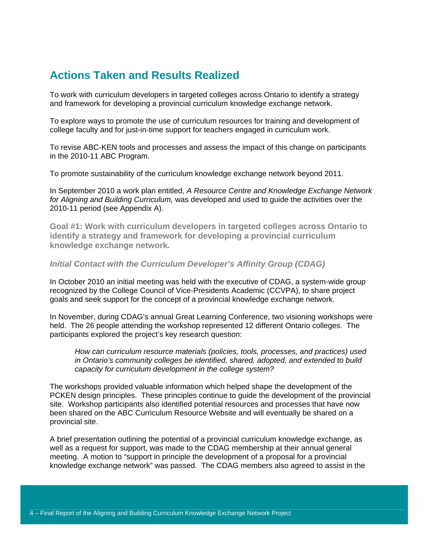### **Actions Taken and Results Realized**

To work with curriculum developers in targeted colleges across Ontario to identify a strategy and framework for developing a provincial curriculum knowledge exchange network.

To explore ways to promote the use of curriculum resources for training and development of college faculty and for just-in-time support for teachers engaged in curriculum work.

To revise ABC-KEN tools and processes and assess the impact of this change on participants in the 2010-11 ABC Program.

To promote sustainability of the curriculum knowledge exchange network beyond 2011.

In September 2010 a work plan entitled, *A Resource Centre and Knowledge Exchange Network for Aligning and Building Curriculum,* was developed and used to guide the activities over the 2010-11 period (see Appendix A).

**Goal #1: Work with curriculum developers in targeted colleges across Ontario to identify a strategy and framework for developing a provincial curriculum knowledge exchange network.** 

#### *Initial Contact with the Curriculum Developer's Affinity Group (CDAG)*

In October 2010 an initial meeting was held with the executive of CDAG, a system-wide group recognized by the College Council of Vice-Presidents Academic (CCVPA), to share project goals and seek support for the concept of a provincial knowledge exchange network.

In November, during CDAG's annual Great Learning Conference, two visioning workshops were held. The 26 people attending the workshop represented 12 different Ontario colleges. The participants explored the project's key research question:

*How can curriculum resource materials (policies, tools, processes, and practices) used in Ontario's community colleges be identified, shared, adopted, and extended to build capacity for curriculum development in the college system?* 

The workshops provided valuable information which helped shape the development of the PCKEN design principles. These principles continue to guide the development of the provincial site. Workshop participants also identified potential resources and processes that have now been shared on the ABC Curriculum Resource Website and will eventually be shared on a provincial site.

A brief presentation outlining the potential of a provincial curriculum knowledge exchange, as well as a request for support, was made to the CDAG membership at their annual general meeting. A motion to "support in principle the development of a proposal for a provincial knowledge exchange network" was passed. The CDAG members also agreed to assist in the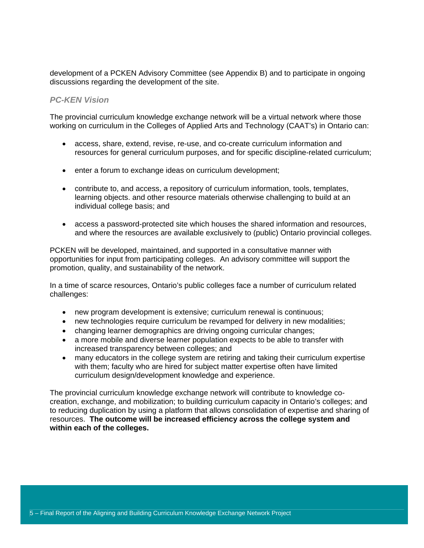development of a PCKEN Advisory Committee (see Appendix B) and to participate in ongoing discussions regarding the development of the site.

#### *PC-KEN Vision*

The provincial curriculum knowledge exchange network will be a virtual network where those working on curriculum in the Colleges of Applied Arts and Technology (CAAT's) in Ontario can:

- access, share, extend, revise, re-use, and co-create curriculum information and resources for general curriculum purposes, and for specific discipline-related curriculum;
- enter a forum to exchange ideas on curriculum development;
- contribute to, and access, a repository of curriculum information, tools, templates, learning objects. and other resource materials otherwise challenging to build at an individual college basis; and
- access a password-protected site which houses the shared information and resources, and where the resources are available exclusively to (public) Ontario provincial colleges.

PCKEN will be developed, maintained, and supported in a consultative manner with opportunities for input from participating colleges. An advisory committee will support the promotion, quality, and sustainability of the network.

In a time of scarce resources, Ontario's public colleges face a number of curriculum related challenges:

- new program development is extensive; curriculum renewal is continuous;
- new technologies require curriculum be revamped for delivery in new modalities;
- changing learner demographics are driving ongoing curricular changes;
- a more mobile and diverse learner population expects to be able to transfer with increased transparency between colleges; and
- many educators in the college system are retiring and taking their curriculum expertise with them; faculty who are hired for subject matter expertise often have limited curriculum design/development knowledge and experience.

The provincial curriculum knowledge exchange network will contribute to knowledge cocreation, exchange, and mobilization; to building curriculum capacity in Ontario's colleges; and to reducing duplication by using a platform that allows consolidation of expertise and sharing of resources. **The outcome will be increased efficiency across the college system and within each of the colleges.**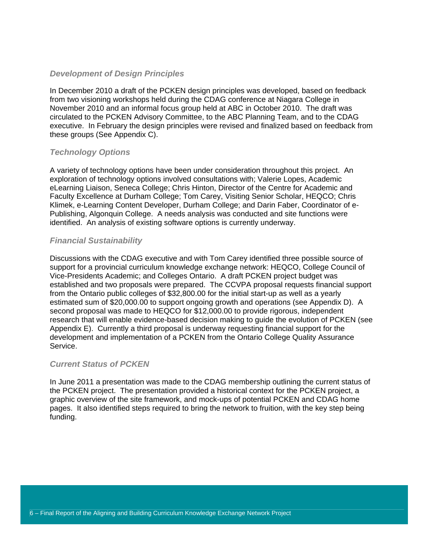#### *Development of Design Principles*

In December 2010 a draft of the PCKEN design principles was developed, based on feedback from two visioning workshops held during the CDAG conference at Niagara College in November 2010 and an informal focus group held at ABC in October 2010. The draft was circulated to the PCKEN Advisory Committee, to the ABC Planning Team, and to the CDAG executive. In February the design principles were revised and finalized based on feedback from these groups (See Appendix C).

#### *Technology Options*

A variety of technology options have been under consideration throughout this project. An exploration of technology options involved consultations with; Valerie Lopes, Academic eLearning Liaison, Seneca College; Chris Hinton, Director of the Centre for Academic and Faculty Excellence at Durham College; Tom Carey, Visiting Senior Scholar, HEQCO; Chris Klimek, e-Learning Content Developer, Durham College; and Darin Faber, Coordinator of e-Publishing, Algonquin College. A needs analysis was conducted and site functions were identified. An analysis of existing software options is currently underway.

#### *Financial Sustainability*

Discussions with the CDAG executive and with Tom Carey identified three possible source of support for a provincial curriculum knowledge exchange network: HEQCO, College Council of Vice-Presidents Academic; and Colleges Ontario. A draft PCKEN project budget was established and two proposals were prepared. The CCVPA proposal requests financial support from the Ontario public colleges of \$32,800.00 for the initial start-up as well as a yearly estimated sum of \$20,000.00 to support ongoing growth and operations (see Appendix D). A second proposal was made to HEQCO for \$12,000.00 to provide rigorous, independent research that will enable evidence-based decision making to guide the evolution of PCKEN (see Appendix E). Currently a third proposal is underway requesting financial support for the development and implementation of a PCKEN from the Ontario College Quality Assurance Service.

#### *Current Status of PCKEN*

In June 2011 a presentation was made to the CDAG membership outlining the current status of the PCKEN project. The presentation provided a historical context for the PCKEN project, a graphic overview of the site framework, and mock-ups of potential PCKEN and CDAG home pages. It also identified steps required to bring the network to fruition, with the key step being funding.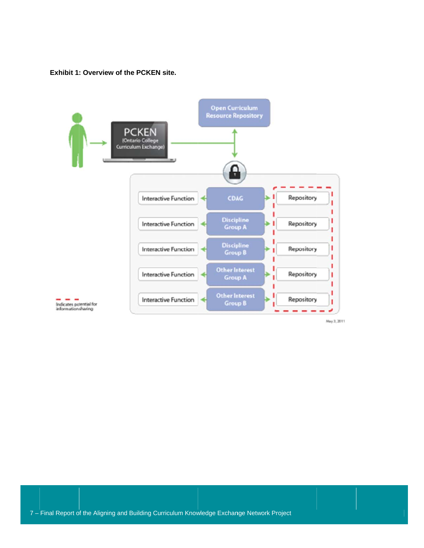**Exhibit 1 : Overview o f the PCKEN site.** 



May 3, 2011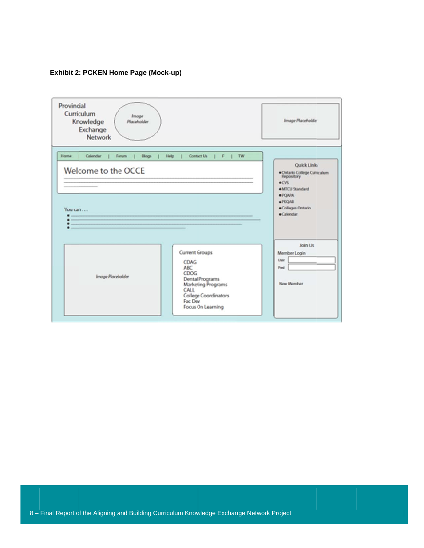#### Exhibit 2: PCKEN Home Page (Mock-up)

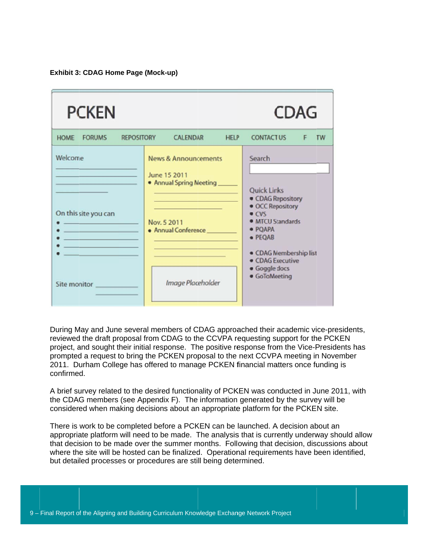**Exhibit 3: CDAG Home Page (Mock-up)** 

| <b>PCKEN</b>                                                                                                                                                                                                                           |                                                                                                                                                                                                                                                                       | CDAG                                                                                                                                                                                                     |
|----------------------------------------------------------------------------------------------------------------------------------------------------------------------------------------------------------------------------------------|-----------------------------------------------------------------------------------------------------------------------------------------------------------------------------------------------------------------------------------------------------------------------|----------------------------------------------------------------------------------------------------------------------------------------------------------------------------------------------------------|
| <b>HOME</b><br><b>FORUMS</b><br><b>REPOSITORY</b>                                                                                                                                                                                      | <b>CALENDAR</b><br><b>HELP</b>                                                                                                                                                                                                                                        | <b>CONTACT US</b><br>TW                                                                                                                                                                                  |
| Welcome<br>On this site you can<br>the control of the control of the control of<br>the control of the control of the con-<br>the company of the company of the company<br>the control of the control of the control of<br>Site monitor | <b>News &amp; Announcements</b><br>June 15 2011<br>. Annual Spring Meeting<br>the control of the control of the control of the control of the control of<br><u> 1989 - Johann Barn, mars eta inperiodo</u><br>Nov. 5 2011<br>· Annual Conference<br>Image Placeholder | Search<br><b>Quick Links</b><br>• CDAG Repository<br>• OCC Repository<br>• CVS<br>· MTCU Standards<br>· PQAPA<br>· PEQAB<br>· CDAG Membership list<br>• CDAG Executive<br>· Goggle docs<br>· GoToMeeting |

During May and June several members of CDAG approached their academic vice-presidents, reviewed the draft proposal from CDAG to the CCVPA requesting support for the PCKEN project, and sought their initial response. The positive response from the Vice-Presidents has prompted a request to bring the PCKEN proposal to the next CCVPA meeting in November 2011. Durham College has offered to manage PCKEN financial matters once funding is confirme d. prompted a request to bring the PCKEN proposal to the next CCVPA meeting in November<br>2011. Durham College has offered to manage PCKEN financial matters once funding is<br>confirmed.<br>A brief survey related to the desired func

the CDAG members (see Appendix F). The information generated by the survey will be considered when making decisions about an appropriate platform for the PCKEN site.

There is work to be completed before a PCKEN can be launched. A decision about an appropriate platform will need to be made. The analysis that is currently underway should allow that decision to be made over the summer months. Following that decision, discussions about where the site will be hosted can be finalized. Operational requirements have been identified, but detailed processes or procedures are still being determined.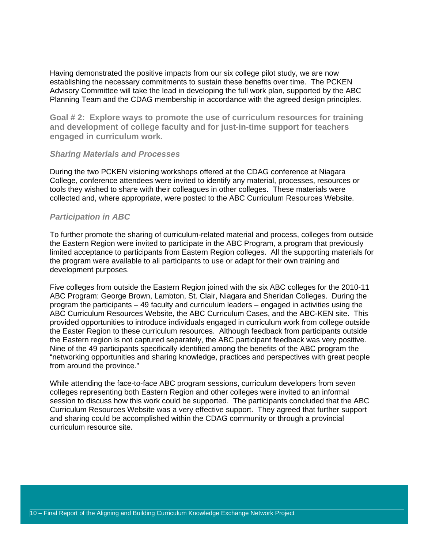Having demonstrated the positive impacts from our six college pilot study, we are now establishing the necessary commitments to sustain these benefits over time. The PCKEN Advisory Committee will take the lead in developing the full work plan, supported by the ABC Planning Team and the CDAG membership in accordance with the agreed design principles.

**Goal # 2: Explore ways to promote the use of curriculum resources for training and development of college faculty and for just-in-time support for teachers engaged in curriculum work.** 

#### *Sharing Materials and Processes*

During the two PCKEN visioning workshops offered at the CDAG conference at Niagara College, conference attendees were invited to identify any material, processes, resources or tools they wished to share with their colleagues in other colleges. These materials were collected and, where appropriate, were posted to the ABC Curriculum Resources Website.

#### *Participation in ABC*

To further promote the sharing of curriculum-related material and process, colleges from outside the Eastern Region were invited to participate in the ABC Program, a program that previously limited acceptance to participants from Eastern Region colleges. All the supporting materials for the program were available to all participants to use or adapt for their own training and development purposes.

Five colleges from outside the Eastern Region joined with the six ABC colleges for the 2010-11 ABC Program: George Brown, Lambton, St. Clair, Niagara and Sheridan Colleges. During the program the participants – 49 faculty and curriculum leaders – engaged in activities using the ABC Curriculum Resources Website, the ABC Curriculum Cases, and the ABC-KEN site. This provided opportunities to introduce individuals engaged in curriculum work from college outside the Easter Region to these curriculum resources. Although feedback from participants outside the Eastern region is not captured separately, the ABC participant feedback was very positive. Nine of the 49 participants specifically identified among the benefits of the ABC program the "networking opportunities and sharing knowledge, practices and perspectives with great people from around the province."

While attending the face-to-face ABC program sessions, curriculum developers from seven colleges representing both Eastern Region and other colleges were invited to an informal session to discuss how this work could be supported. The participants concluded that the ABC Curriculum Resources Website was a very effective support. They agreed that further support and sharing could be accomplished within the CDAG community or through a provincial curriculum resource site.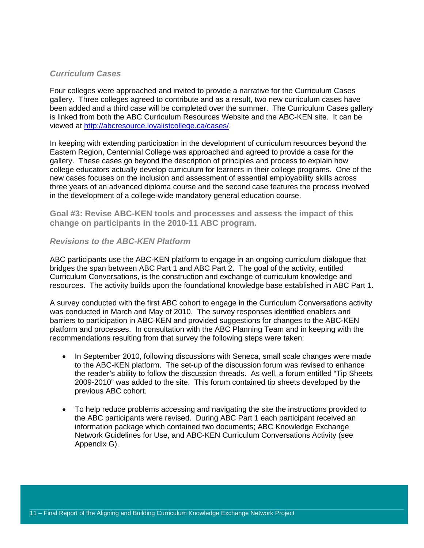#### *Curriculum Cases*

Four colleges were approached and invited to provide a narrative for the Curriculum Cases gallery. Three colleges agreed to contribute and as a result, two new curriculum cases have been added and a third case will be completed over the summer. The Curriculum Cases gallery is linked from both the ABC Curriculum Resources Website and the ABC-KEN site. It can be viewed at http://abcresource.loyalistcollege.ca/cases/.

In keeping with extending participation in the development of curriculum resources beyond the Eastern Region, Centennial College was approached and agreed to provide a case for the gallery. These cases go beyond the description of principles and process to explain how college educators actually develop curriculum for learners in their college programs. One of the new cases focuses on the inclusion and assessment of essential employability skills across three years of an advanced diploma course and the second case features the process involved in the development of a college-wide mandatory general education course.

**Goal #3: Revise ABC-KEN tools and processes and assess the impact of this change on participants in the 2010-11 ABC program.** 

#### *Revisions to the ABC-KEN Platform*

ABC participants use the ABC-KEN platform to engage in an ongoing curriculum dialogue that bridges the span between ABC Part 1 and ABC Part 2. The goal of the activity, entitled Curriculum Conversations, is the construction and exchange of curriculum knowledge and resources. The activity builds upon the foundational knowledge base established in ABC Part 1.

A survey conducted with the first ABC cohort to engage in the Curriculum Conversations activity was conducted in March and May of 2010. The survey responses identified enablers and barriers to participation in ABC-KEN and provided suggestions for changes to the ABC-KEN platform and processes. In consultation with the ABC Planning Team and in keeping with the recommendations resulting from that survey the following steps were taken:

- In September 2010, following discussions with Seneca, small scale changes were made to the ABC-KEN platform. The set-up of the discussion forum was revised to enhance the reader's ability to follow the discussion threads. As well, a forum entitled "Tip Sheets 2009-2010" was added to the site. This forum contained tip sheets developed by the previous ABC cohort.
- To help reduce problems accessing and navigating the site the instructions provided to the ABC participants were revised. During ABC Part 1 each participant received an information package which contained two documents; ABC Knowledge Exchange Network Guidelines for Use, and ABC-KEN Curriculum Conversations Activity (see Appendix G).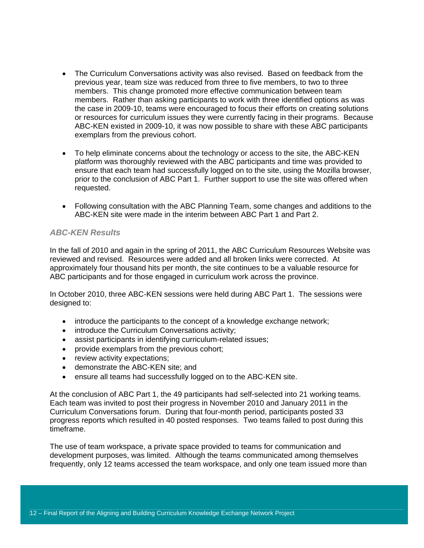- The Curriculum Conversations activity was also revised. Based on feedback from the previous year, team size was reduced from three to five members, to two to three members. This change promoted more effective communication between team members. Rather than asking participants to work with three identified options as was the case in 2009-10, teams were encouraged to focus their efforts on creating solutions or resources for curriculum issues they were currently facing in their programs. Because ABC-KEN existed in 2009-10, it was now possible to share with these ABC participants exemplars from the previous cohort.
- To help eliminate concerns about the technology or access to the site, the ABC-KEN platform was thoroughly reviewed with the ABC participants and time was provided to ensure that each team had successfully logged on to the site, using the Mozilla browser, prior to the conclusion of ABC Part 1. Further support to use the site was offered when requested.
- Following consultation with the ABC Planning Team, some changes and additions to the ABC-KEN site were made in the interim between ABC Part 1 and Part 2.

#### *ABC-KEN Results*

In the fall of 2010 and again in the spring of 2011, the ABC Curriculum Resources Website was reviewed and revised. Resources were added and all broken links were corrected. At approximately four thousand hits per month, the site continues to be a valuable resource for ABC participants and for those engaged in curriculum work across the province.

In October 2010, three ABC-KEN sessions were held during ABC Part 1. The sessions were designed to:

- introduce the participants to the concept of a knowledge exchange network;
- introduce the Curriculum Conversations activity;
- assist participants in identifying curriculum-related issues;
- provide exemplars from the previous cohort;
- review activity expectations;
- demonstrate the ABC-KEN site; and
- ensure all teams had successfully logged on to the ABC-KEN site.

At the conclusion of ABC Part 1, the 49 participants had self-selected into 21 working teams. Each team was invited to post their progress in November 2010 and January 2011 in the Curriculum Conversations forum. During that four-month period, participants posted 33 progress reports which resulted in 40 posted responses. Two teams failed to post during this timeframe.

The use of team workspace, a private space provided to teams for communication and development purposes, was limited. Although the teams communicated among themselves frequently, only 12 teams accessed the team workspace, and only one team issued more than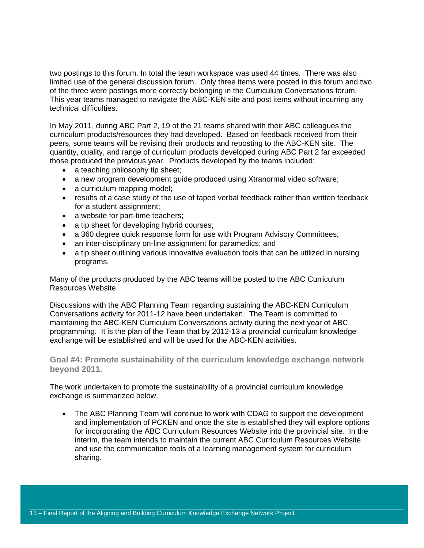two postings to this forum. In total the team workspace was used 44 times. There was also limited use of the general discussion forum. Only three items were posted in this forum and two of the three were postings more correctly belonging in the Curriculum Conversations forum. This year teams managed to navigate the ABC-KEN site and post items without incurring any technical difficulties.

In May 2011, during ABC Part 2, 19 of the 21 teams shared with their ABC colleagues the curriculum products/resources they had developed. Based on feedback received from their peers, some teams will be revising their products and reposting to the ABC-KEN site. The quantity, quality, and range of curriculum products developed during ABC Part 2 far exceeded those produced the previous year. Products developed by the teams included:

- a teaching philosophy tip sheet;
- a new program development guide produced using Xtranormal video software;
- a curriculum mapping model;
- results of a case study of the use of taped verbal feedback rather than written feedback for a student assignment;
- a website for part-time teachers;
- a tip sheet for developing hybrid courses;
- a 360 degree quick response form for use with Program Advisory Committees;
- an inter-disciplinary on-line assignment for paramedics; and
- a tip sheet outlining various innovative evaluation tools that can be utilized in nursing programs.

Many of the products produced by the ABC teams will be posted to the ABC Curriculum Resources Website.

Discussions with the ABC Planning Team regarding sustaining the ABC-KEN Curriculum Conversations activity for 2011-12 have been undertaken. The Team is committed to maintaining the ABC-KEN Curriculum Conversations activity during the next year of ABC programming. It is the plan of the Team that by 2012-13 a provincial curriculum knowledge exchange will be established and will be used for the ABC-KEN activities.

**Goal #4: Promote sustainability of the curriculum knowledge exchange network beyond 2011.** 

The work undertaken to promote the sustainability of a provincial curriculum knowledge exchange is summarized below.

• The ABC Planning Team will continue to work with CDAG to support the development and implementation of PCKEN and once the site is established they will explore options for incorporating the ABC Curriculum Resources Website into the provincial site. In the interim, the team intends to maintain the current ABC Curriculum Resources Website and use the communication tools of a learning management system for curriculum sharing.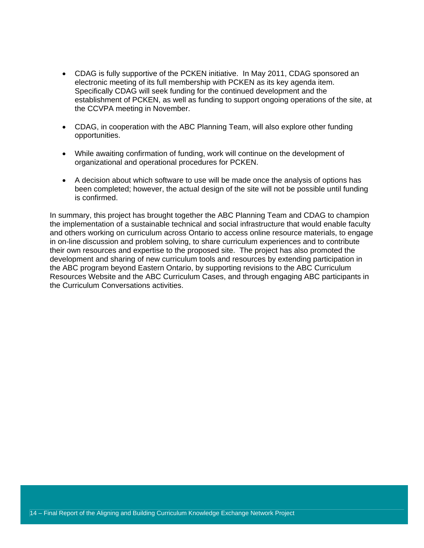- CDAG is fully supportive of the PCKEN initiative. In May 2011, CDAG sponsored an electronic meeting of its full membership with PCKEN as its key agenda item. Specifically CDAG will seek funding for the continued development and the establishment of PCKEN, as well as funding to support ongoing operations of the site, at the CCVPA meeting in November.
- CDAG, in cooperation with the ABC Planning Team, will also explore other funding opportunities.
- While awaiting confirmation of funding, work will continue on the development of organizational and operational procedures for PCKEN.
- A decision about which software to use will be made once the analysis of options has been completed; however, the actual design of the site will not be possible until funding is confirmed.

In summary, this project has brought together the ABC Planning Team and CDAG to champion the implementation of a sustainable technical and social infrastructure that would enable faculty and others working on curriculum across Ontario to access online resource materials, to engage in on-line discussion and problem solving, to share curriculum experiences and to contribute their own resources and expertise to the proposed site. The project has also promoted the development and sharing of new curriculum tools and resources by extending participation in the ABC program beyond Eastern Ontario, by supporting revisions to the ABC Curriculum Resources Website and the ABC Curriculum Cases, and through engaging ABC participants in the Curriculum Conversations activities.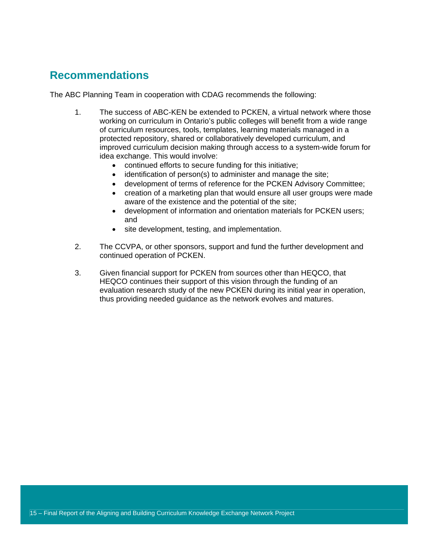### **Recommendations**

The ABC Planning Team in cooperation with CDAG recommends the following:

- 1. The success of ABC-KEN be extended to PCKEN, a virtual network where those working on curriculum in Ontario's public colleges will benefit from a wide range of curriculum resources, tools, templates, learning materials managed in a protected repository, shared or collaboratively developed curriculum, and improved curriculum decision making through access to a system-wide forum for idea exchange. This would involve:
	- continued efforts to secure funding for this initiative;
	- identification of person(s) to administer and manage the site;
	- development of terms of reference for the PCKEN Advisory Committee;
	- creation of a marketing plan that would ensure all user groups were made aware of the existence and the potential of the site;
	- development of information and orientation materials for PCKEN users; and
	- site development, testing, and implementation.
- 2. The CCVPA, or other sponsors, support and fund the further development and continued operation of PCKEN.
- 3. Given financial support for PCKEN from sources other than HEQCO, that HEQCO continues their support of this vision through the funding of an evaluation research study of the new PCKEN during its initial year in operation, thus providing needed guidance as the network evolves and matures.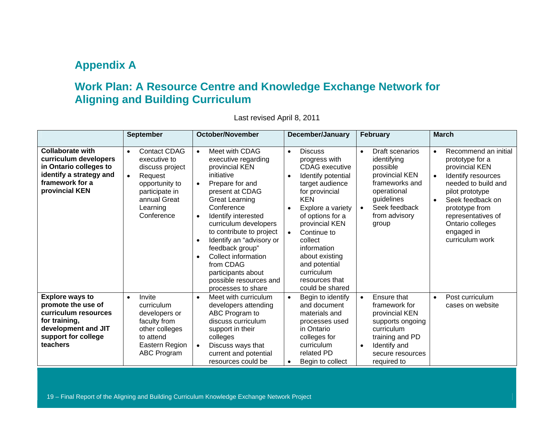### **Appendix A**

### **Work Plan: A Resource Centre and Knowledge Exchange Network for Aligning and Building Curriculum**

|                                                                                                                                                 | <b>September</b>                                                                                                                                                          | <b>October/November</b>                                                                                                                                                                                                                                                                                                                                                                                           | <b>December/January</b><br><b>February</b>                                                                                                                                                                                                                                                                                               |                                                                                                                                                                                  | <b>March</b>                                                                                                                                                                                                                                                                      |  |
|-------------------------------------------------------------------------------------------------------------------------------------------------|---------------------------------------------------------------------------------------------------------------------------------------------------------------------------|-------------------------------------------------------------------------------------------------------------------------------------------------------------------------------------------------------------------------------------------------------------------------------------------------------------------------------------------------------------------------------------------------------------------|------------------------------------------------------------------------------------------------------------------------------------------------------------------------------------------------------------------------------------------------------------------------------------------------------------------------------------------|----------------------------------------------------------------------------------------------------------------------------------------------------------------------------------|-----------------------------------------------------------------------------------------------------------------------------------------------------------------------------------------------------------------------------------------------------------------------------------|--|
| <b>Collaborate with</b><br>curriculum developers<br>in Ontario colleges to<br>identify a strategy and<br>framework for a<br>provincial KEN      | <b>Contact CDAG</b><br>$\bullet$<br>executive to<br>discuss project<br>Request<br>$\bullet$<br>opportunity to<br>participate in<br>annual Great<br>Learning<br>Conference | Meet with CDAG<br>$\bullet$<br>executive regarding<br>provincial KEN<br>initiative<br>Prepare for and<br>present at CDAG<br><b>Great Learning</b><br>Conference<br>Identify interested<br>$\bullet$<br>curriculum developers<br>to contribute to project<br>Identify an "advisory or<br>feedback group"<br>Collect information<br>from CDAG<br>participants about<br>possible resources and<br>processes to share | <b>Discuss</b><br>$\bullet$<br>progress with<br><b>CDAG</b> executive<br>Identify potential<br>target audience<br>for provincial<br><b>KEN</b><br>Explore a variety<br>of options for a<br>provincial KEN<br>Continue to<br>collect<br>information<br>about existing<br>and potential<br>curriculum<br>resources that<br>could be shared | Draft scenarios<br>$\bullet$<br>identifying<br>possible<br>provincial KEN<br>frameworks and<br>operational<br>guidelines<br>Seek feedback<br>$\bullet$<br>from advisory<br>group | Recommend an initial<br>$\bullet$<br>prototype for a<br>provincial KEN<br>Identify resources<br>$\bullet$<br>needed to build and<br>pilot prototype<br>Seek feedback on<br>$\bullet$<br>prototype from<br>representatives of<br>Ontario colleges<br>engaged in<br>curriculum work |  |
| <b>Explore ways to</b><br>promote the use of<br>curriculum resources<br>for training,<br>development and JIT<br>support for college<br>teachers | Invite<br>$\bullet$<br>curriculum<br>developers or<br>faculty from<br>other colleges<br>to attend<br>Eastern Region<br>ABC Program                                        | Meet with curriculum<br>$\bullet$<br>developers attending<br>ABC Program to<br>discuss curriculum<br>support in their<br>colleges<br>Discuss ways that<br>current and potential<br>resources could be                                                                                                                                                                                                             | Begin to identify<br>$\bullet$<br>and document<br>materials and<br>processes used<br>in Ontario<br>colleges for<br>curriculum<br>related PD<br>Begin to collect<br>$\bullet$                                                                                                                                                             | Ensure that<br>$\bullet$<br>framework for<br>provincial KEN<br>supports ongoing<br>curriculum<br>training and PD<br>Identify and<br>$\bullet$<br>secure resources<br>required to | Post curriculum<br>$\bullet$<br>cases on website                                                                                                                                                                                                                                  |  |

Last revised April 8, 2011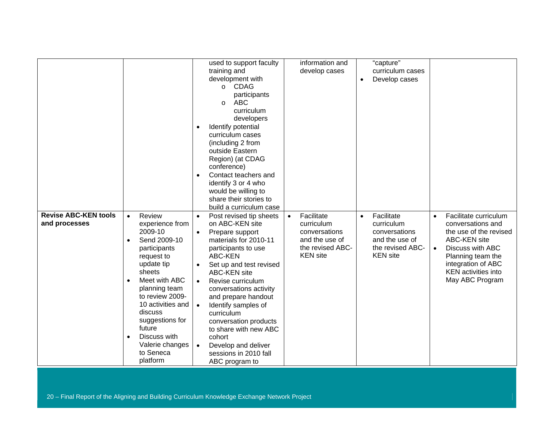|                             |                           | used to support faculty              | information and         | "capture"                  |                                    |
|-----------------------------|---------------------------|--------------------------------------|-------------------------|----------------------------|------------------------------------|
|                             |                           | training and                         | develop cases           | curriculum cases           |                                    |
|                             |                           | development with                     |                         | Develop cases<br>$\bullet$ |                                    |
|                             |                           | <b>CDAG</b><br>$\circ$               |                         |                            |                                    |
|                             |                           | participants                         |                         |                            |                                    |
|                             |                           | <b>ABC</b>                           |                         |                            |                                    |
|                             |                           | $\circ$                              |                         |                            |                                    |
|                             |                           | curriculum                           |                         |                            |                                    |
|                             |                           | developers                           |                         |                            |                                    |
|                             |                           | Identify potential                   |                         |                            |                                    |
|                             |                           | curriculum cases                     |                         |                            |                                    |
|                             |                           | (including 2 from                    |                         |                            |                                    |
|                             |                           | outside Eastern                      |                         |                            |                                    |
|                             |                           | Region) (at CDAG                     |                         |                            |                                    |
|                             |                           | conference)                          |                         |                            |                                    |
|                             |                           | Contact teachers and                 |                         |                            |                                    |
|                             |                           | identify 3 or 4 who                  |                         |                            |                                    |
|                             |                           | would be willing to                  |                         |                            |                                    |
|                             |                           | share their stories to               |                         |                            |                                    |
|                             |                           | build a curriculum case              |                         |                            |                                    |
| <b>Revise ABC-KEN tools</b> | Review<br>$\bullet$       | Post revised tip sheets<br>$\bullet$ | Facilitate<br>$\bullet$ | Facilitate<br>$\bullet$    | Facilitate curriculum<br>$\bullet$ |
| and processes               | experience from           | on ABC-KEN site                      | curriculum              | curriculum                 | conversations and                  |
|                             | 2009-10                   | Prepare support<br>$\bullet$         | conversations           | conversations              | the use of the revised             |
|                             | Send 2009-10<br>$\bullet$ | materials for 2010-11                | and the use of          | and the use of             | ABC-KEN site                       |
|                             | participants              | participants to use                  | the revised ABC-        | the revised ABC-           | Discuss with ABC<br>$\bullet$      |
|                             | request to                | ABC-KEN                              | <b>KEN</b> site         | <b>KEN</b> site            | Planning team the                  |
|                             | update tip                | Set up and test revised              |                         |                            | integration of ABC                 |
|                             | sheets                    |                                      |                         |                            | <b>KEN</b> activities into         |
|                             |                           | <b>ABC-KEN site</b>                  |                         |                            |                                    |
|                             | Meet with ABC             | Revise curriculum<br>$\bullet$       |                         |                            | May ABC Program                    |
|                             | planning team             | conversations activity               |                         |                            |                                    |
|                             | to review 2009-           | and prepare handout                  |                         |                            |                                    |
|                             | 10 activities and         | Identify samples of<br>$\bullet$     |                         |                            |                                    |
|                             | discuss                   | curriculum                           |                         |                            |                                    |
|                             | suggestions for           | conversation products                |                         |                            |                                    |
|                             | future                    | to share with new ABC                |                         |                            |                                    |
|                             | Discuss with              | cohort                               |                         |                            |                                    |
|                             | Valerie changes           | Develop and deliver<br>$\bullet$     |                         |                            |                                    |
|                             | to Seneca                 | sessions in 2010 fall                |                         |                            |                                    |
|                             | platform                  | ABC program to                       |                         |                            |                                    |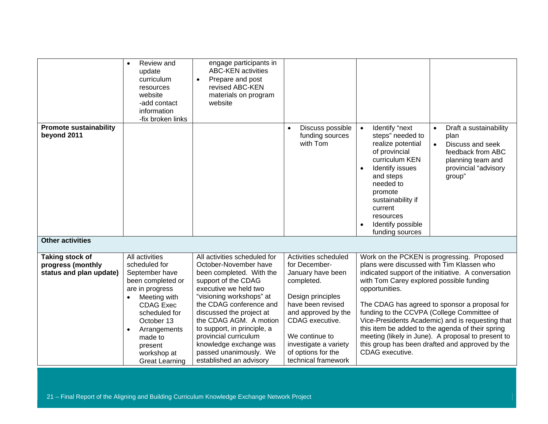|                                              | Review and<br>update<br>curriculum<br>resources<br>website<br>-add contact<br>information<br>-fix broken links                | engage participants in<br><b>ABC-KEN</b> activities<br>Prepare and post<br>$\bullet$<br>revised ABC-KEN<br>materials on program<br>website                                                                           |                                                                                                                                                     |                                                                                                                                                                                                                                                                                                                                                                                                                  |  |
|----------------------------------------------|-------------------------------------------------------------------------------------------------------------------------------|----------------------------------------------------------------------------------------------------------------------------------------------------------------------------------------------------------------------|-----------------------------------------------------------------------------------------------------------------------------------------------------|------------------------------------------------------------------------------------------------------------------------------------------------------------------------------------------------------------------------------------------------------------------------------------------------------------------------------------------------------------------------------------------------------------------|--|
| <b>Promote sustainability</b><br>beyond 2011 |                                                                                                                               |                                                                                                                                                                                                                      | Discuss possible<br>funding sources<br>with Tom                                                                                                     | Identify "next<br>Draft a sustainability<br>$\bullet$<br>steps" needed to<br>plan<br>realize potential<br>Discuss and seek<br>of provincial<br>feedback from ABC<br>curriculum KEN<br>planning team and<br>provincial "advisory<br>Identify issues<br>$\bullet$<br>and steps<br>group"<br>needed to<br>promote<br>sustainability if<br>current<br>resources<br>Identify possible<br>$\bullet$<br>funding sources |  |
| <b>Other activities</b>                      |                                                                                                                               |                                                                                                                                                                                                                      |                                                                                                                                                     |                                                                                                                                                                                                                                                                                                                                                                                                                  |  |
| <b>Taking stock of</b>                       | All activities                                                                                                                | All activities scheduled for                                                                                                                                                                                         | Activities scheduled                                                                                                                                | Work on the PCKEN is progressing. Proposed                                                                                                                                                                                                                                                                                                                                                                       |  |
| progress (monthly<br>status and plan update) | scheduled for<br>September have<br>been completed or<br>are in progress<br>Meeting with                                       | October-November have<br>been completed. With the<br>support of the CDAG<br>executive we held two<br>"visioning workshops" at                                                                                        | for December-<br>January have been<br>completed.<br>Design principles                                                                               | plans were discussed with Tim Klassen who<br>indicated support of the initiative. A conversation<br>with Tom Carey explored possible funding<br>opportunities.                                                                                                                                                                                                                                                   |  |
|                                              | <b>CDAG Exec</b><br>scheduled for<br>October 13<br>Arrangements<br>made to<br>present<br>workshop at<br><b>Great Learning</b> | the CDAG conference and<br>discussed the project at<br>the CDAG AGM. A motion<br>to support, in principle, a<br>provincial curriculum<br>knowledge exchange was<br>passed unanimously. We<br>established an advisory | have been revised<br>and approved by the<br>CDAG executive.<br>We continue to<br>investigate a variety<br>of options for the<br>technical framework | The CDAG has agreed to sponsor a proposal for<br>funding to the CCVPA (College Committee of<br>Vice-Presidents Academic) and is requesting that<br>this item be added to the agenda of their spring<br>meeting (likely in June). A proposal to present to<br>this group has been drafted and approved by the<br>CDAG executive.                                                                                  |  |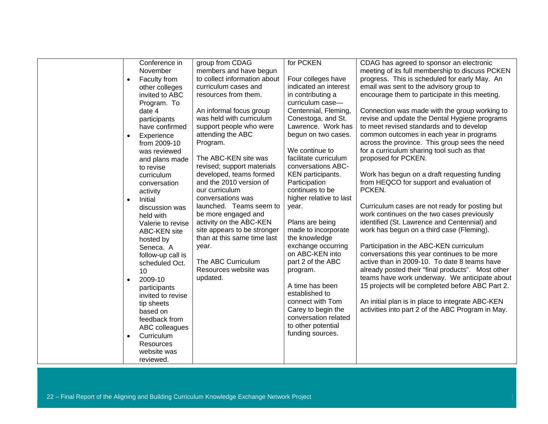| Conference in             | group from CDAG              | for PCKEN               | CDAG has agreed to sponsor an electronic          |
|---------------------------|------------------------------|-------------------------|---------------------------------------------------|
| November                  | members and have begun       |                         | meeting of its full membership to discuss PCKEN   |
| Faculty from<br>$\bullet$ | to collect information about | Four colleges have      | progress. This is scheduled for early May. An     |
| other colleges            | curriculum cases and         | indicated an interest   | email was sent to the advisory group to           |
| invited to ABC            | resources from them.         | in contributing a       | encourage them to participate in this meeting.    |
| Program. To               |                              | curriculum case-        |                                                   |
| date 4                    | An informal focus group      | Centennial, Fleming,    | Connection was made with the group working to     |
| participants              | was held with curriculum     | Conestoga, and St.      | revise and update the Dental Hygiene programs     |
| have confirmed            | support people who were      | Lawrence. Work has      | to meet revised standards and to develop          |
| Experience<br>$\bullet$   | attending the ABC            | begun on two cases.     | common outcomes in each year in programs          |
| from 2009-10              | Program.                     |                         | across the province. This group sees the need     |
| was reviewed              |                              | We continue to          | for a curriculum sharing tool such as that        |
| and plans made            | The ABC-KEN site was         | facilitate curriculum   | proposed for PCKEN.                               |
| to revise                 | revised; support materials   | conversations ABC-      |                                                   |
| curriculum                | developed, teams formed      | KEN participants.       | Work has begun on a draft requesting funding      |
| conversation              | and the 2010 version of      | Participation           | from HEQCO for support and evaluation of          |
| activity                  | our curriculum               | continues to be         | PCKEN.                                            |
| Initial                   | conversations was            | higher relative to last |                                                   |
| $\bullet$                 | launched. Teams seem to      | year.                   | Curriculum cases are not ready for posting but    |
| discussion was            | be more engaged and          |                         | work continues on the two cases previously        |
| held with                 | activity on the ABC-KEN      | Plans are being         | identified (St. Lawrence and Centennial) and      |
| Valerie to revise         | site appears to be stronger  | made to incorporate     | work has begun on a third case (Fleming).         |
| <b>ABC-KEN site</b>       | than at this same time last  | the knowledge           |                                                   |
| hosted by                 |                              | exchange occurring      | Participation in the ABC-KEN curriculum           |
| Seneca. A                 | year.                        | on ABC-KEN into         | conversations this year continues to be more      |
| follow-up call is         | The ABC Curriculum           | part 2 of the ABC       | active than in 2009-10. To date 8 teams have      |
| scheduled Oct.            | Resources website was        |                         | already posted their "final products". Most other |
| 10                        | updated.                     | program.                | teams have work underway. We anticipate about     |
| 2009-10                   |                              | A time has been         | 15 projects will be completed before ABC Part 2.  |
| participants              |                              | established to          |                                                   |
| invited to revise         |                              | connect with Tom        | An initial plan is in place to integrate ABC-KEN  |
| tip sheets                |                              |                         |                                                   |
| based on                  |                              | Carey to begin the      | activities into part 2 of the ABC Program in May. |
| feedback from             |                              | conversation related    |                                                   |
| ABC colleagues            |                              | to other potential      |                                                   |
| Curriculum<br>$\bullet$   |                              | funding sources.        |                                                   |
| Resources                 |                              |                         |                                                   |
| website was               |                              |                         |                                                   |
| reviewed.                 |                              |                         |                                                   |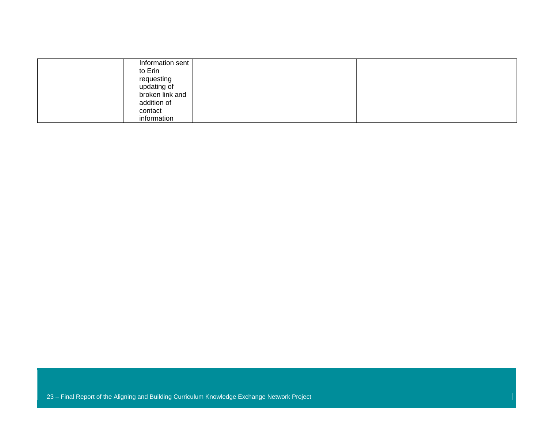| Information sent |  |  |
|------------------|--|--|
| to Erin          |  |  |
|                  |  |  |
| requesting       |  |  |
|                  |  |  |
| updating of      |  |  |
| broken link and  |  |  |
|                  |  |  |
| addition of      |  |  |
| contact          |  |  |
|                  |  |  |
| information      |  |  |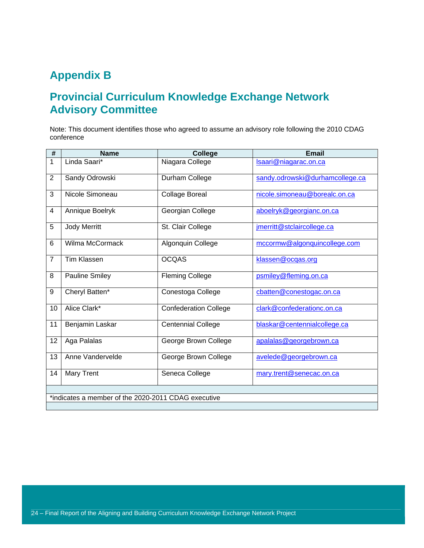### **Appendix B**

### **Provincial Curriculum Knowledge Exchange Network Advisory Committee**

Note: This document identifies those who agreed to assume an advisory role following the 2010 CDAG conference

| #              | <b>Name</b>                                         | College                      | <b>Email</b>                    |  |  |
|----------------|-----------------------------------------------------|------------------------------|---------------------------------|--|--|
| 1              | Linda Saari*                                        | Niagara College              | Isaari@niagarac.on.ca           |  |  |
| $\overline{2}$ | Sandy Odrowski                                      | Durham College               | sandy.odrowski@durhamcollege.ca |  |  |
| 3              | Nicole Simoneau                                     | <b>Collage Boreal</b>        | nicole.simoneau@borealc.on.ca   |  |  |
| 4              | Annique Boelryk                                     | Georgian College             | aboelryk@georgianc.on.ca        |  |  |
| 5              | Jody Merritt                                        | St. Clair College            | jmerritt@stclaircollege.ca      |  |  |
| 6              | Wilma McCormack                                     | Algonquin College            | mccormw@algonquincollege.com    |  |  |
| $\overline{7}$ | <b>Tim Klassen</b>                                  | <b>OCQAS</b>                 | klassen@ocqas.org               |  |  |
| 8              | <b>Pauline Smiley</b>                               | <b>Fleming College</b>       | psmiley@fleming.on.ca           |  |  |
| 9              | Cheryl Batten*                                      | Conestoga College            | cbatten@conestogac.on.ca        |  |  |
| 10             | Alice Clark*                                        | <b>Confederation College</b> | clark@confederationc.on.ca      |  |  |
| 11             | Benjamin Laskar                                     | <b>Centennial College</b>    | blaskar@centennialcollege.ca    |  |  |
| 12             | Aga Palalas                                         | George Brown College         | apalalas@georgebrown.ca         |  |  |
| 13             | Anne Vandervelde                                    | George Brown College         | avelede@georgebrown.ca          |  |  |
| 14             | <b>Mary Trent</b>                                   | Seneca College               | mary.trent@senecac.on.ca        |  |  |
|                |                                                     |                              |                                 |  |  |
|                | *indicates a member of the 2020-2011 CDAG executive |                              |                                 |  |  |
|                |                                                     |                              |                                 |  |  |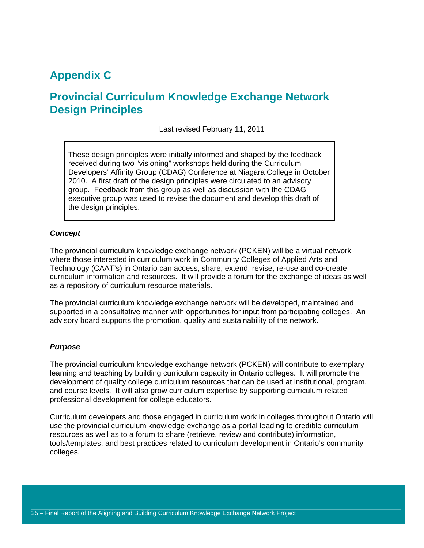### **Appendix C**

### **Provincial Curriculum Knowledge Exchange Network Design Principles**

Last revised February 11, 2011

These design principles were initially informed and shaped by the feedback received during two "visioning" workshops held during the Curriculum Developers' Affinity Group (CDAG) Conference at Niagara College in October 2010. A first draft of the design principles were circulated to an advisory group. Feedback from this group as well as discussion with the CDAG executive group was used to revise the document and develop this draft of the design principles.

#### *Concept*

The provincial curriculum knowledge exchange network (PCKEN) will be a virtual network where those interested in curriculum work in Community Colleges of Applied Arts and Technology (CAAT's) in Ontario can access, share, extend, revise, re-use and co-create curriculum information and resources. It will provide a forum for the exchange of ideas as well as a repository of curriculum resource materials.

The provincial curriculum knowledge exchange network will be developed, maintained and supported in a consultative manner with opportunities for input from participating colleges. An advisory board supports the promotion, quality and sustainability of the network.

#### *Purpose*

The provincial curriculum knowledge exchange network (PCKEN) will contribute to exemplary learning and teaching by building curriculum capacity in Ontario colleges. It will promote the development of quality college curriculum resources that can be used at institutional, program, and course levels. It will also grow curriculum expertise by supporting curriculum related professional development for college educators.

Curriculum developers and those engaged in curriculum work in colleges throughout Ontario will use the provincial curriculum knowledge exchange as a portal leading to credible curriculum resources as well as to a forum to share (retrieve, review and contribute) information, tools/templates, and best practices related to curriculum development in Ontario's community colleges.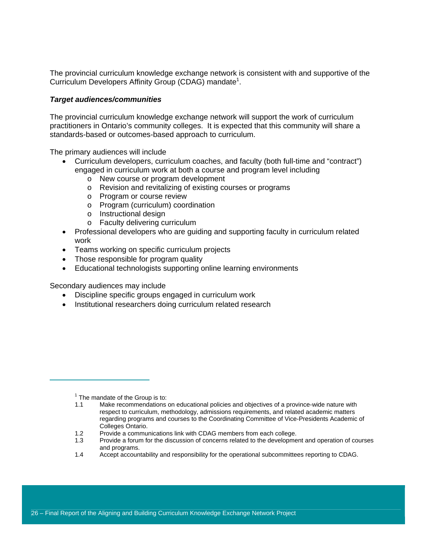The provincial curriculum knowledge exchange network is consistent with and supportive of the Curriculum Developers Affinity Group (CDAG) mandate<sup>1</sup>.

#### *Target audiences/communities*

The provincial curriculum knowledge exchange network will support the work of curriculum practitioners in Ontario's community colleges. It is expected that this community will share a standards-based or outcomes-based approach to curriculum.

The primary audiences will include

- Curriculum developers, curriculum coaches, and faculty (both full-time and "contract") engaged in curriculum work at both a course and program level including
	- o New course or program development
	- o Revision and revitalizing of existing courses or programs
	- o Program or course review
	- o Program (curriculum) coordination
	- o Instructional design
	- o Faculty delivering curriculum
- Professional developers who are guiding and supporting faculty in curriculum related work
- Teams working on specific curriculum projects
- Those responsible for program quality
- Educational technologists supporting online learning environments

Secondary audiences may include

- Discipline specific groups engaged in curriculum work
- Institutional researchers doing curriculum related research

1.4 Accept accountability and responsibility for the operational subcommittees reporting to CDAG.

 $\overline{\phantom{a}}$  $1$  The mandate of the Group is to:

<sup>1.1</sup> Make recommendations on educational policies and objectives of a province-wide nature with respect to curriculum, methodology, admissions requirements, and related academic matters regarding programs and courses to the Coordinating Committee of Vice-Presidents Academic of Colleges Ontario.

<sup>1.2</sup> Provide a communications link with CDAG members from each college.

<sup>1.3</sup> Provide a forum for the discussion of concerns related to the development and operation of courses and programs.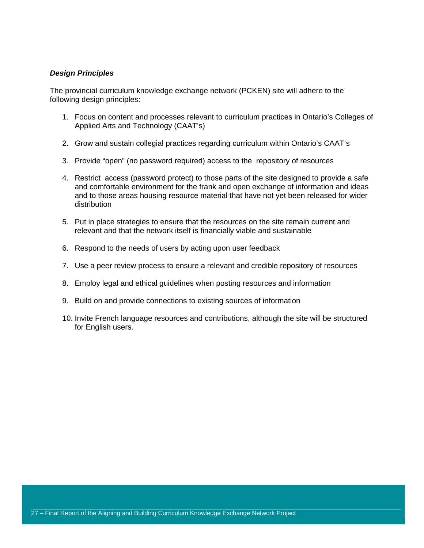#### *Design Principles*

The provincial curriculum knowledge exchange network (PCKEN) site will adhere to the following design principles:

- 1. Focus on content and processes relevant to curriculum practices in Ontario's Colleges of Applied Arts and Technology (CAAT's)
- 2. Grow and sustain collegial practices regarding curriculum within Ontario's CAAT's
- 3. Provide "open" (no password required) access to the repository of resources
- 4. Restrict access (password protect) to those parts of the site designed to provide a safe and comfortable environment for the frank and open exchange of information and ideas and to those areas housing resource material that have not yet been released for wider distribution
- 5. Put in place strategies to ensure that the resources on the site remain current and relevant and that the network itself is financially viable and sustainable
- 6. Respond to the needs of users by acting upon user feedback
- 7. Use a peer review process to ensure a relevant and credible repository of resources
- 8. Employ legal and ethical guidelines when posting resources and information
- 9. Build on and provide connections to existing sources of information
- 10. Invite French language resources and contributions, although the site will be structured for English users.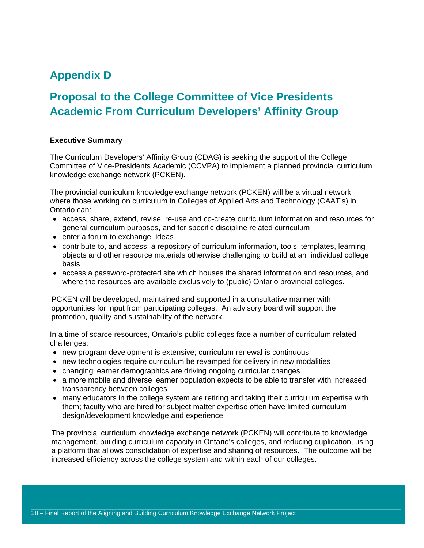### **Appendix D**

### **Proposal to the College Committee of Vice Presidents Academic From Curriculum Developers' Affinity Group**

#### **Executive Summary**

The Curriculum Developers' Affinity Group (CDAG) is seeking the support of the College Committee of Vice-Presidents Academic (CCVPA) to implement a planned provincial curriculum knowledge exchange network (PCKEN).

The provincial curriculum knowledge exchange network (PCKEN) will be a virtual network where those working on curriculum in Colleges of Applied Arts and Technology (CAAT's) in Ontario can:

- access, share, extend, revise, re-use and co-create curriculum information and resources for general curriculum purposes, and for specific discipline related curriculum
- enter a forum to exchange ideas
- contribute to, and access, a repository of curriculum information, tools, templates, learning objects and other resource materials otherwise challenging to build at an individual college basis
- access a password-protected site which houses the shared information and resources, and where the resources are available exclusively to (public) Ontario provincial colleges.

PCKEN will be developed, maintained and supported in a consultative manner with opportunities for input from participating colleges. An advisory board will support the promotion, quality and sustainability of the network.

In a time of scarce resources, Ontario's public colleges face a number of curriculum related challenges:

- new program development is extensive; curriculum renewal is continuous
- new technologies require curriculum be revamped for delivery in new modalities
- changing learner demographics are driving ongoing curricular changes
- a more mobile and diverse learner population expects to be able to transfer with increased transparency between colleges
- many educators in the college system are retiring and taking their curriculum expertise with them; faculty who are hired for subject matter expertise often have limited curriculum design/development knowledge and experience

The provincial curriculum knowledge exchange network (PCKEN) will contribute to knowledge management, building curriculum capacity in Ontario's colleges, and reducing duplication, using a platform that allows consolidation of expertise and sharing of resources. The outcome will be increased efficiency across the college system and within each of our colleges.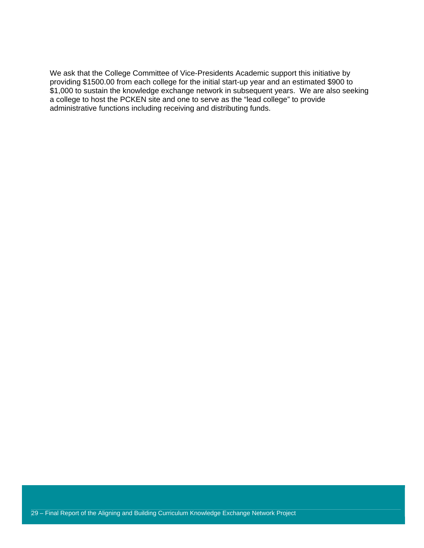We ask that the College Committee of Vice-Presidents Academic support this initiative by providing \$1500.00 from each college for the initial start-up year and an estimated \$900 to \$1,000 to sustain the knowledge exchange network in subsequent years. We are also seeking a college to host the PCKEN site and one to serve as the "lead college" to provide administrative functions including receiving and distributing funds.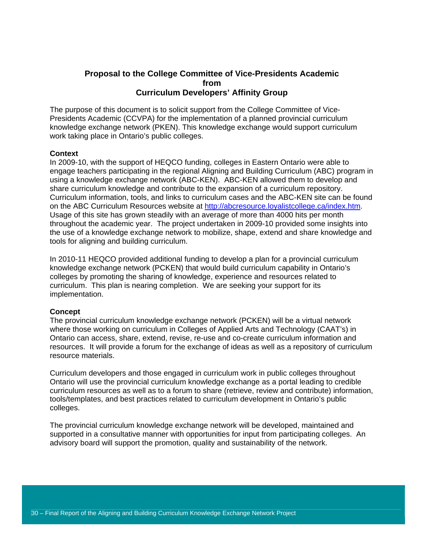#### **Proposal to the College Committee of Vice-Presidents Academic from Curriculum Developers' Affinity Group**

The purpose of this document is to solicit support from the College Committee of Vice-Presidents Academic (CCVPA) for the implementation of a planned provincial curriculum knowledge exchange network (PKEN). This knowledge exchange would support curriculum work taking place in Ontario's public colleges.

#### **Context**

In 2009-10, with the support of HEQCO funding, colleges in Eastern Ontario were able to engage teachers participating in the regional Aligning and Building Curriculum (ABC) program in using a knowledge exchange network (ABC-KEN). ABC-KEN allowed them to develop and share curriculum knowledge and contribute to the expansion of a curriculum repository. Curriculum information, tools, and links to curriculum cases and the ABC-KEN site can be found on the ABC Curriculum Resources website at http://abcresource.loyalistcollege.ca/index.htm. Usage of this site has grown steadily with an average of more than 4000 hits per month throughout the academic year. The project undertaken in 2009-10 provided some insights into the use of a knowledge exchange network to mobilize, shape, extend and share knowledge and tools for aligning and building curriculum.

In 2010-11 HEQCO provided additional funding to develop a plan for a provincial curriculum knowledge exchange network (PCKEN) that would build curriculum capability in Ontario's colleges by promoting the sharing of knowledge, experience and resources related to curriculum. This plan is nearing completion. We are seeking your support for its implementation.

#### **Concept**

The provincial curriculum knowledge exchange network (PCKEN) will be a virtual network where those working on curriculum in Colleges of Applied Arts and Technology (CAAT's) in Ontario can access, share, extend, revise, re-use and co-create curriculum information and resources. It will provide a forum for the exchange of ideas as well as a repository of curriculum resource materials.

Curriculum developers and those engaged in curriculum work in public colleges throughout Ontario will use the provincial curriculum knowledge exchange as a portal leading to credible curriculum resources as well as to a forum to share (retrieve, review and contribute) information, tools/templates, and best practices related to curriculum development in Ontario's public colleges.

The provincial curriculum knowledge exchange network will be developed, maintained and supported in a consultative manner with opportunities for input from participating colleges. An advisory board will support the promotion, quality and sustainability of the network.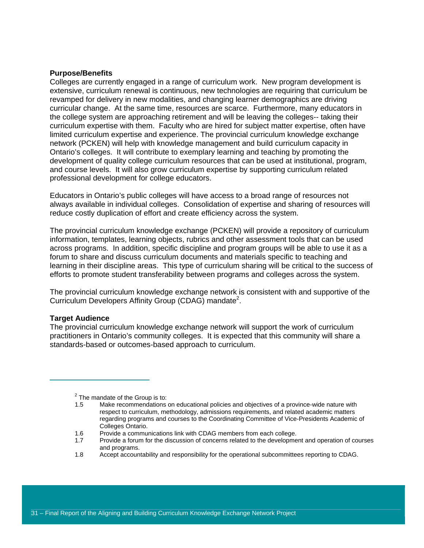#### **Purpose/Benefits**

Colleges are currently engaged in a range of curriculum work. New program development is extensive, curriculum renewal is continuous, new technologies are requiring that curriculum be revamped for delivery in new modalities, and changing learner demographics are driving curricular change. At the same time, resources are scarce. Furthermore, many educators in the college system are approaching retirement and will be leaving the colleges-- taking their curriculum expertise with them. Faculty who are hired for subject matter expertise, often have limited curriculum expertise and experience. The provincial curriculum knowledge exchange network (PCKEN) will help with knowledge management and build curriculum capacity in Ontario's colleges. It will contribute to exemplary learning and teaching by promoting the development of quality college curriculum resources that can be used at institutional, program, and course levels. It will also grow curriculum expertise by supporting curriculum related professional development for college educators.

Educators in Ontario's public colleges will have access to a broad range of resources not always available in individual colleges. Consolidation of expertise and sharing of resources will reduce costly duplication of effort and create efficiency across the system.

The provincial curriculum knowledge exchange (PCKEN) will provide a repository of curriculum information, templates, learning objects, rubrics and other assessment tools that can be used across programs. In addition, specific discipline and program groups will be able to use it as a forum to share and discuss curriculum documents and materials specific to teaching and learning in their discipline areas. This type of curriculum sharing will be critical to the success of efforts to promote student transferability between programs and colleges across the system.

The provincial curriculum knowledge exchange network is consistent with and supportive of the Curriculum Developers Affinity Group (CDAG) mandate<sup>2</sup>.

#### **Target Audience**

The provincial curriculum knowledge exchange network will support the work of curriculum practitioners in Ontario's community colleges. It is expected that this community will share a standards-based or outcomes-based approach to curriculum.

1.8 Accept accountability and responsibility for the operational subcommittees reporting to CDAG.

 $\overline{\phantom{a}}$  $2$  The mandate of the Group is to:

<sup>1.5</sup> Make recommendations on educational policies and objectives of a province-wide nature with respect to curriculum, methodology, admissions requirements, and related academic matters regarding programs and courses to the Coordinating Committee of Vice-Presidents Academic of Colleges Ontario.

<sup>1.6</sup> Provide a communications link with CDAG members from each college.

<sup>1.7</sup> Provide a forum for the discussion of concerns related to the development and operation of courses and programs.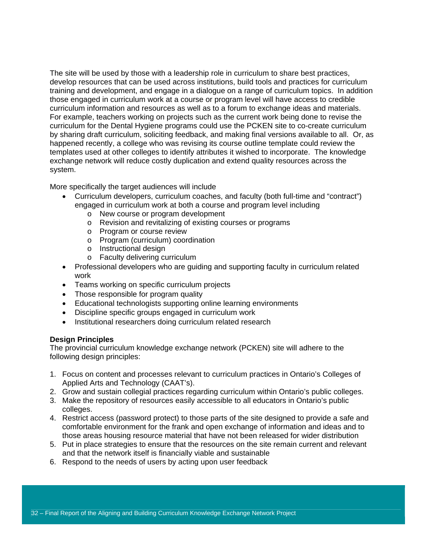The site will be used by those with a leadership role in curriculum to share best practices, develop resources that can be used across institutions, build tools and practices for curriculum training and development, and engage in a dialogue on a range of curriculum topics. In addition those engaged in curriculum work at a course or program level will have access to credible curriculum information and resources as well as to a forum to exchange ideas and materials. For example, teachers working on projects such as the current work being done to revise the curriculum for the Dental Hygiene programs could use the PCKEN site to co-create curriculum by sharing draft curriculum, soliciting feedback, and making final versions available to all. Or, as happened recently, a college who was revising its course outline template could review the templates used at other colleges to identify attributes it wished to incorporate. The knowledge exchange network will reduce costly duplication and extend quality resources across the system.

More specifically the target audiences will include

- Curriculum developers, curriculum coaches, and faculty (both full-time and "contract") engaged in curriculum work at both a course and program level including
	- o New course or program development
	- o Revision and revitalizing of existing courses or programs
	- o Program or course review
	- o Program (curriculum) coordination
	- o Instructional design
	- o Faculty delivering curriculum
- Professional developers who are quiding and supporting faculty in curriculum related work
- Teams working on specific curriculum projects
- Those responsible for program quality
- Educational technologists supporting online learning environments
- Discipline specific groups engaged in curriculum work
- Institutional researchers doing curriculum related research

#### **Design Principles**

The provincial curriculum knowledge exchange network (PCKEN) site will adhere to the following design principles:

- 1. Focus on content and processes relevant to curriculum practices in Ontario's Colleges of Applied Arts and Technology (CAAT's).
- 2. Grow and sustain collegial practices regarding curriculum within Ontario's public colleges.
- 3. Make the repository of resources easily accessible to all educators in Ontario's public colleges.
- 4. Restrict access (password protect) to those parts of the site designed to provide a safe and comfortable environment for the frank and open exchange of information and ideas and to those areas housing resource material that have not been released for wider distribution
- 5. Put in place strategies to ensure that the resources on the site remain current and relevant and that the network itself is financially viable and sustainable
- 6. Respond to the needs of users by acting upon user feedback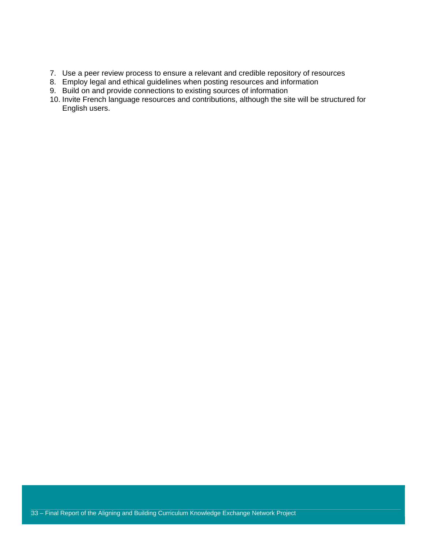- 7. Use a peer review process to ensure a relevant and credible repository of resources
- 8. Employ legal and ethical guidelines when posting resources and information
- 9. Build on and provide connections to existing sources of information
- 10. Invite French language resources and contributions, although the site will be structured for English users.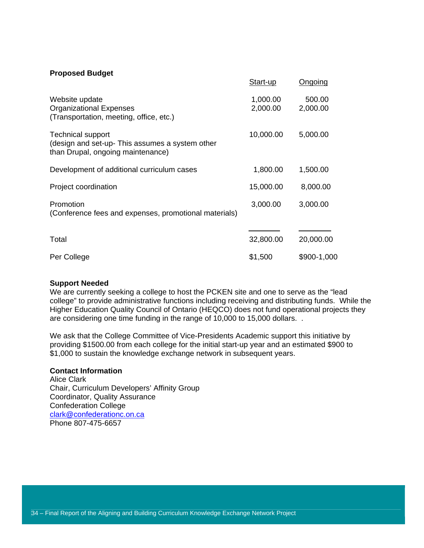#### **Proposed Budget**

|                                                                                                                 | Start-up             | Ongoing            |
|-----------------------------------------------------------------------------------------------------------------|----------------------|--------------------|
| Website update<br><b>Organizational Expenses</b><br>(Transportation, meeting, office, etc.)                     | 1,000.00<br>2,000.00 | 500.00<br>2,000.00 |
| <b>Technical support</b><br>(design and set-up-This assumes a system other<br>than Drupal, ongoing maintenance) | 10,000.00            | 5,000.00           |
| Development of additional curriculum cases                                                                      | 1,800.00             | 1,500.00           |
| Project coordination                                                                                            | 15,000.00            | 8,000.00           |
| Promotion<br>(Conference fees and expenses, promotional materials)                                              | 3,000.00             | 3,000.00           |
| Total                                                                                                           | 32,800.00            | 20,000.00          |
| Per College                                                                                                     | \$1,500              | \$900-1,000        |

#### **Support Needed**

We are currently seeking a college to host the PCKEN site and one to serve as the "lead college" to provide administrative functions including receiving and distributing funds. While the Higher Education Quality Council of Ontario (HEQCO) does not fund operational projects they are considering one time funding in the range of 10,000 to 15,000 dollars. .

We ask that the College Committee of Vice-Presidents Academic support this initiative by providing \$1500.00 from each college for the initial start-up year and an estimated \$900 to \$1,000 to sustain the knowledge exchange network in subsequent years.

#### **Contact Information**

Alice Clark Chair, Curriculum Developers' Affinity Group Coordinator, Quality Assurance Confederation College clark@confederationc.on.ca Phone 807-475-6657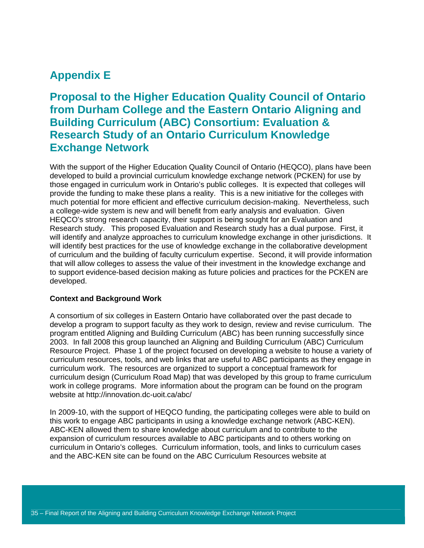### **Appendix E**

**Proposal to the Higher Education Quality Council of Ontario from Durham College and the Eastern Ontario Aligning and Building Curriculum (ABC) Consortium: Evaluation & Research Study of an Ontario Curriculum Knowledge Exchange Network**

With the support of the Higher Education Quality Council of Ontario (HEQCO), plans have been developed to build a provincial curriculum knowledge exchange network (PCKEN) for use by those engaged in curriculum work in Ontario's public colleges. It is expected that colleges will provide the funding to make these plans a reality. This is a new initiative for the colleges with much potential for more efficient and effective curriculum decision-making. Nevertheless, such a college-wide system is new and will benefit from early analysis and evaluation. Given HEQCO's strong research capacity, their support is being sought for an Evaluation and Research study. This proposed Evaluation and Research study has a dual purpose. First, it will identify and analyze approaches to curriculum knowledge exchange in other jurisdictions. It will identify best practices for the use of knowledge exchange in the collaborative development of curriculum and the building of faculty curriculum expertise. Second, it will provide information that will allow colleges to assess the value of their investment in the knowledge exchange and to support evidence-based decision making as future policies and practices for the PCKEN are developed.

#### **Context and Background Work**

A consortium of six colleges in Eastern Ontario have collaborated over the past decade to develop a program to support faculty as they work to design, review and revise curriculum. The program entitled Aligning and Building Curriculum (ABC) has been running successfully since 2003. In fall 2008 this group launched an Aligning and Building Curriculum (ABC) Curriculum Resource Project. Phase 1 of the project focused on developing a website to house a variety of curriculum resources, tools, and web links that are useful to ABC participants as they engage in curriculum work. The resources are organized to support a conceptual framework for curriculum design (Curriculum Road Map) that was developed by this group to frame curriculum work in college programs. More information about the program can be found on the program website at http://innovation.dc-uoit.ca/abc/

In 2009-10, with the support of HEQCO funding, the participating colleges were able to build on this work to engage ABC participants in using a knowledge exchange network (ABC-KEN). ABC-KEN allowed them to share knowledge about curriculum and to contribute to the expansion of curriculum resources available to ABC participants and to others working on curriculum in Ontario's colleges. Curriculum information, tools, and links to curriculum cases and the ABC-KEN site can be found on the ABC Curriculum Resources website at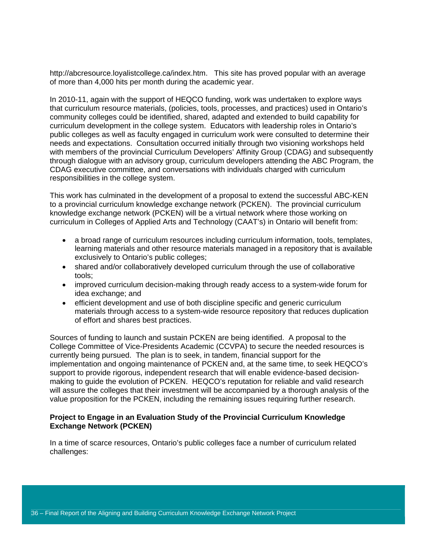http://abcresource.loyalistcollege.ca/index.htm. This site has proved popular with an average of more than 4,000 hits per month during the academic year.

In 2010-11, again with the support of HEQCO funding, work was undertaken to explore ways that curriculum resource materials, (policies, tools, processes, and practices) used in Ontario's community colleges could be identified, shared, adapted and extended to build capability for curriculum development in the college system. Educators with leadership roles in Ontario's public colleges as well as faculty engaged in curriculum work were consulted to determine their needs and expectations. Consultation occurred initially through two visioning workshops held with members of the provincial Curriculum Developers' Affinity Group (CDAG) and subsequently through dialogue with an advisory group, curriculum developers attending the ABC Program, the CDAG executive committee, and conversations with individuals charged with curriculum responsibilities in the college system.

This work has culminated in the development of a proposal to extend the successful ABC-KEN to a provincial curriculum knowledge exchange network (PCKEN). The provincial curriculum knowledge exchange network (PCKEN) will be a virtual network where those working on curriculum in Colleges of Applied Arts and Technology (CAAT's) in Ontario will benefit from:

- a broad range of curriculum resources including curriculum information, tools, templates, learning materials and other resource materials managed in a repository that is available exclusively to Ontario's public colleges;
- shared and/or collaboratively developed curriculum through the use of collaborative tools;
- improved curriculum decision-making through ready access to a system-wide forum for idea exchange; and
- efficient development and use of both discipline specific and generic curriculum materials through access to a system-wide resource repository that reduces duplication of effort and shares best practices.

Sources of funding to launch and sustain PCKEN are being identified. A proposal to the College Committee of Vice-Presidents Academic (CCVPA) to secure the needed resources is currently being pursued. The plan is to seek, in tandem, financial support for the implementation and ongoing maintenance of PCKEN and, at the same time, to seek HEQCO's support to provide rigorous, independent research that will enable evidence-based decisionmaking to guide the evolution of PCKEN. HEQCO's reputation for reliable and valid research will assure the colleges that their investment will be accompanied by a thorough analysis of the value proposition for the PCKEN, including the remaining issues requiring further research.

#### **Project to Engage in an Evaluation Study of the Provincial Curriculum Knowledge Exchange Network (PCKEN)**

In a time of scarce resources, Ontario's public colleges face a number of curriculum related challenges: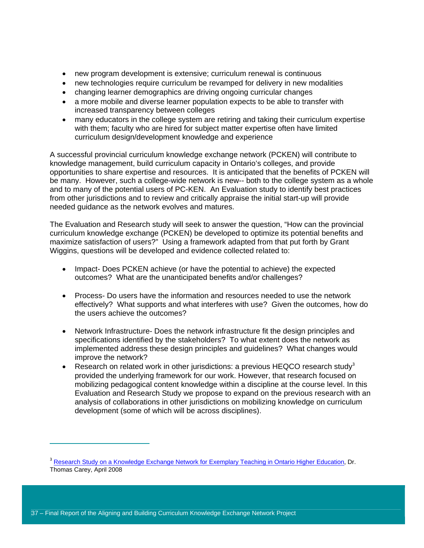- new program development is extensive; curriculum renewal is continuous
- new technologies require curriculum be revamped for delivery in new modalities
- changing learner demographics are driving ongoing curricular changes
- a more mobile and diverse learner population expects to be able to transfer with increased transparency between colleges
- many educators in the college system are retiring and taking their curriculum expertise with them; faculty who are hired for subject matter expertise often have limited curriculum design/development knowledge and experience

A successful provincial curriculum knowledge exchange network (PCKEN) will contribute to knowledge management, build curriculum capacity in Ontario's colleges, and provide opportunities to share expertise and resources. It is anticipated that the benefits of PCKEN will be many. However, such a college-wide network is new-- both to the college system as a whole and to many of the potential users of PC-KEN. An Evaluation study to identify best practices from other jurisdictions and to review and critically appraise the initial start-up will provide needed guidance as the network evolves and matures.

The Evaluation and Research study will seek to answer the question, "How can the provincial curriculum knowledge exchange (PCKEN) be developed to optimize its potential benefits and maximize satisfaction of users?" Using a framework adapted from that put forth by Grant Wiggins, questions will be developed and evidence collected related to:

- Impact- Does PCKEN achieve (or have the potential to achieve) the expected outcomes? What are the unanticipated benefits and/or challenges?
- Process- Do users have the information and resources needed to use the network effectively? What supports and what interferes with use? Given the outcomes, how do the users achieve the outcomes?
- Network Infrastructure- Does the network infrastructure fit the design principles and specifications identified by the stakeholders? To what extent does the network as implemented address these design principles and guidelines? What changes would improve the network?
- Research on related work in other jurisdictions: a previous HEQCO research study<sup>3</sup> provided the underlying framework for our work. However, that research focused on mobilizing pedagogical content knowledge within a discipline at the course level. In this Evaluation and Research Study we propose to expand on the previous research with an analysis of collaborations in other jurisdictions on mobilizing knowledge on curriculum development (some of which will be across disciplines).

 $\overline{a}$ 

<sup>&</sup>lt;sup>3</sup> Research Study on a Knowledge Exchange Network for Exemplary Teaching in Ontario Higher Education, Dr. Thomas Carey, April 2008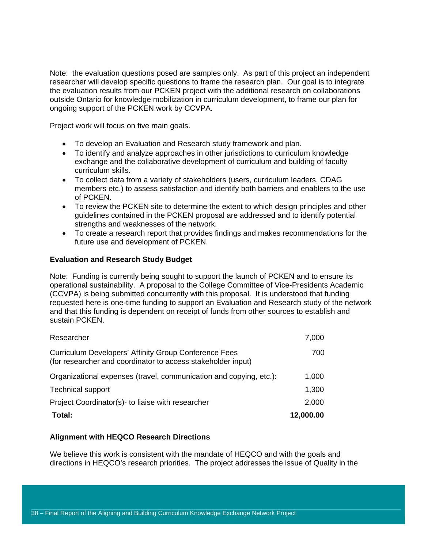Note: the evaluation questions posed are samples only. As part of this project an independent researcher will develop specific questions to frame the research plan. Our goal is to integrate the evaluation results from our PCKEN project with the additional research on collaborations outside Ontario for knowledge mobilization in curriculum development, to frame our plan for ongoing support of the PCKEN work by CCVPA.

Project work will focus on five main goals.

- To develop an Evaluation and Research study framework and plan.
- To identify and analyze approaches in other jurisdictions to curriculum knowledge exchange and the collaborative development of curriculum and building of faculty curriculum skills.
- To collect data from a variety of stakeholders (users, curriculum leaders, CDAG members etc.) to assess satisfaction and identify both barriers and enablers to the use of PCKEN.
- To review the PCKEN site to determine the extent to which design principles and other guidelines contained in the PCKEN proposal are addressed and to identify potential strengths and weaknesses of the network.
- To create a research report that provides findings and makes recommendations for the future use and development of PCKEN.

#### **Evaluation and Research Study Budget**

Note: Funding is currently being sought to support the launch of PCKEN and to ensure its operational sustainability. A proposal to the College Committee of Vice-Presidents Academic (CCVPA) is being submitted concurrently with this proposal. It is understood that funding requested here is one-time funding to support an Evaluation and Research study of the network and that this funding is dependent on receipt of funds from other sources to establish and sustain PCKEN.

| Total:                                                                                                                       | 12,000.00 |
|------------------------------------------------------------------------------------------------------------------------------|-----------|
| Project Coordinator(s)- to liaise with researcher                                                                            | 2,000     |
| <b>Technical support</b>                                                                                                     | 1,300     |
| Organizational expenses (travel, communication and copying, etc.):                                                           | 1,000     |
| <b>Curriculum Developers' Affinity Group Conference Fees</b><br>(for researcher and coordinator to access stakeholder input) | 700       |
| Researcher                                                                                                                   | 7,000     |

#### **Alignment with HEQCO Research Directions**

We believe this work is consistent with the mandate of HEQCO and with the goals and directions in HEQCO's research priorities. The project addresses the issue of Quality in the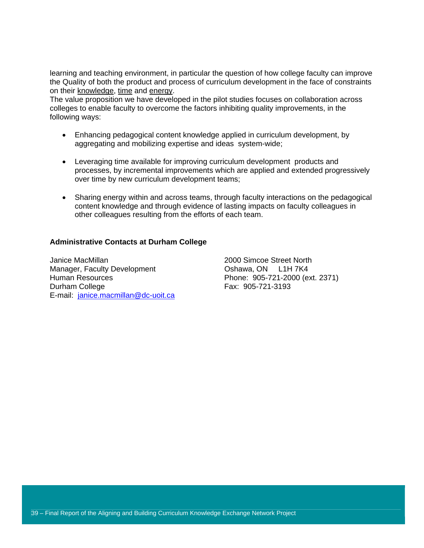learning and teaching environment, in particular the question of how college faculty can improve the Quality of both the product and process of curriculum development in the face of constraints on their knowledge, time and energy.

The value proposition we have developed in the pilot studies focuses on collaboration across colleges to enable faculty to overcome the factors inhibiting quality improvements, in the following ways:

- Enhancing pedagogical content knowledge applied in curriculum development, by aggregating and mobilizing expertise and ideas system-wide;
- Leveraging time available for improving curriculum development products and processes, by incremental improvements which are applied and extended progressively over time by new curriculum development teams;
- Sharing energy within and across teams, through faculty interactions on the pedagogical content knowledge and through evidence of lasting impacts on faculty colleagues in other colleagues resulting from the efforts of each team.

#### **Administrative Contacts at Durham College**

Janice MacMillan 2000 Simcoe Street North Manager, Faculty Development Coshawa, ON L1H 7K4 Human Resources Phone: 905-721-2000 (ext. 2371) Durham College **Fax:** 905-721-3193 E-mail: janice.macmillan@dc-uoit.ca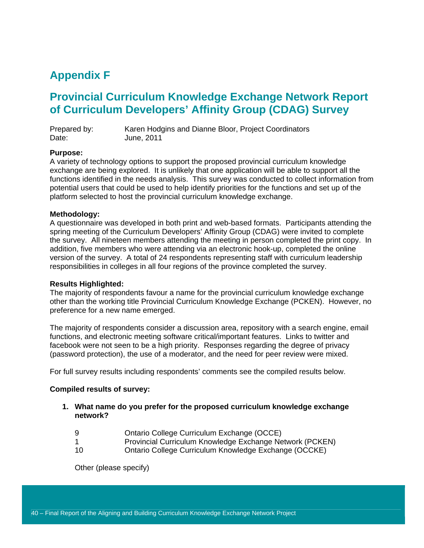### **Appendix F**

### **Provincial Curriculum Knowledge Exchange Network Report of Curriculum Developers' Affinity Group (CDAG) Survey**

| Prepared by: | Karen Hodgins and Dianne Bloor, Project Coordinators |
|--------------|------------------------------------------------------|
| Date:        | June, 2011                                           |

#### **Purpose:**

A variety of technology options to support the proposed provincial curriculum knowledge exchange are being explored. It is unlikely that one application will be able to support all the functions identified in the needs analysis. This survey was conducted to collect information from potential users that could be used to help identify priorities for the functions and set up of the platform selected to host the provincial curriculum knowledge exchange.

#### **Methodology:**

A questionnaire was developed in both print and web-based formats. Participants attending the spring meeting of the Curriculum Developers' Affinity Group (CDAG) were invited to complete the survey. All nineteen members attending the meeting in person completed the print copy. In addition, five members who were attending via an electronic hook-up, completed the online version of the survey. A total of 24 respondents representing staff with curriculum leadership responsibilities in colleges in all four regions of the province completed the survey.

#### **Results Highlighted:**

The majority of respondents favour a name for the provincial curriculum knowledge exchange other than the working title Provincial Curriculum Knowledge Exchange (PCKEN). However, no preference for a new name emerged.

The majority of respondents consider a discussion area, repository with a search engine, email functions, and electronic meeting software critical/important features. Links to twitter and facebook were not seen to be a high priority. Responses regarding the degree of privacy (password protection), the use of a moderator, and the need for peer review were mixed.

For full survey results including respondents' comments see the compiled results below.

#### **Compiled results of survey:**

- **1. What name do you prefer for the proposed curriculum knowledge exchange network?** 
	- 9 Ontario College Curriculum Exchange (OCCE)
	- 1 Provincial Curriculum Knowledge Exchange Network (PCKEN)
	- 10 Ontario College Curriculum Knowledge Exchange (OCCKE)

Other (please specify)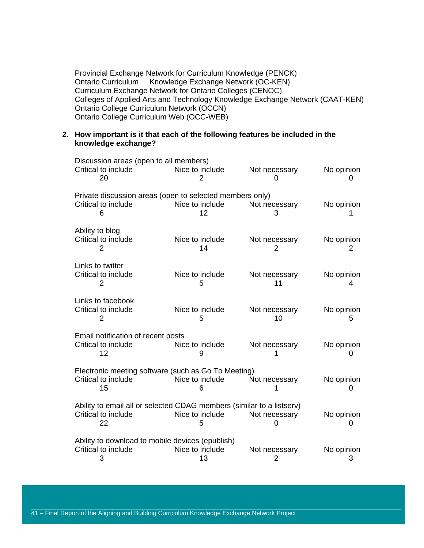Provincial Exchange Network for Curriculum Knowledge (PENCK) Ontario Curriculum Knowledge Exchange Network (OC-KEN) Curriculum Exchange Network for Ontario Colleges (CENOC) Colleges of Applied Arts and Technology Knowledge Exchange Network (CAAT-KEN) Ontario College Curriculum Network (OCCN) Ontario College Curriculum Web (OCC-WEB)

#### **2. How important is it that each of the following features be included in the knowledge exchange?**

| Discussion areas (open to all members)                                |                       |                     |                                 |
|-----------------------------------------------------------------------|-----------------------|---------------------|---------------------------------|
| Critical to include<br>20                                             | Nice to include<br>2  | Not necessary       | No opinion<br>0                 |
| Private discussion areas (open to selected members only)              |                       |                     |                                 |
| Critical to include<br>6                                              | Nice to include<br>12 | Not necessary<br>З  | No opinion                      |
| Ability to blog                                                       |                       |                     |                                 |
| Critical to include<br>2                                              | Nice to include<br>14 | Not necessary<br>2  | No opinion<br>2                 |
| Links to twitter                                                      |                       |                     |                                 |
| Critical to include<br>2                                              | Nice to include<br>5  | Not necessary<br>11 | No opinion<br>4                 |
| Links to facebook                                                     |                       |                     |                                 |
| Critical to include<br>2                                              | Nice to include<br>5  | Not necessary<br>10 | No opinion<br>5                 |
| Email notification of recent posts                                    |                       |                     |                                 |
| Critical to include<br>12                                             | Nice to include<br>9  | Not necessary       | No opinion<br>0                 |
| Electronic meeting software (such as Go To Meeting)                   |                       |                     |                                 |
| Critical to include<br>15                                             | Nice to include<br>6  | Not necessary       | No opinion<br>0                 |
| Ability to email all or selected CDAG members (similar to a listserv) |                       |                     |                                 |
| Critical to include<br>22                                             | Nice to include<br>5  | Not necessary       | No opinion<br>$\mathbf{\Omega}$ |
| Ability to download to mobile devices (epublish)                      |                       |                     |                                 |
| Critical to include<br>3                                              | Nice to include<br>13 | Not necessary<br>2  | No opinion<br>3                 |

41 – Final Report of the Aligning and Building Curriculum Knowledge Exchange Network Project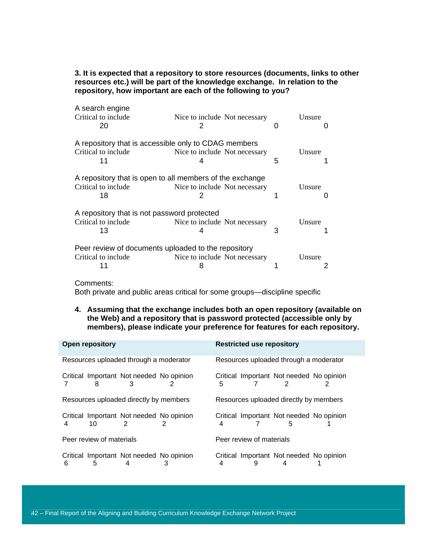#### **3. It is expected that a repository to store resources (documents, links to other resources etc.) will be part of the knowledge exchange. In relation to the repository, how important are each of the following to you?**

| A search engine<br>Critical to include<br>20        | Nice to include Not necessary<br>2                       | O | Unsure |
|-----------------------------------------------------|----------------------------------------------------------|---|--------|
|                                                     | A repository that is accessible only to CDAG members     |   |        |
| Critical to include<br>11                           | Nice to include Not necessary<br>4                       | 5 | Unsure |
|                                                     | A repository that is open to all members of the exchange |   |        |
| Critical to include<br>18                           | Nice to include Not necessary                            |   | Unsure |
| A repository that is not password protected         |                                                          |   |        |
| Critical to include<br>13                           | Nice to include Not necessary                            | 3 | Unsure |
|                                                     |                                                          |   |        |
| Peer review of documents uploaded to the repository |                                                          |   |        |
| Critical to include                                 | Nice to include Not necessary                            |   | Unsure |
|                                                     |                                                          |   |        |

Comments:

Both private and public areas critical for some groups—discipline specific

**4. Assuming that the exchange includes both an open repository (available on the Web) and a repository that is password protected (accessible only by members), please indicate your preference for features for each repository.** 

|   | <b>Open repository</b>   |                                               |   |                          | <b>Restricted use repository</b>       |                                          |
|---|--------------------------|-----------------------------------------------|---|--------------------------|----------------------------------------|------------------------------------------|
|   |                          | Resources uploaded through a moderator        |   |                          | Resources uploaded through a moderator |                                          |
|   | 8                        | Critical Important Not needed No opinion<br>3 | 5 |                          | 2                                      | Critical Important Not needed No opinion |
|   |                          | Resources uploaded directly by members        |   |                          | Resources uploaded directly by members |                                          |
| 4 | 10                       | Critical Important Not needed No opinion      | 4 |                          | 5                                      | Critical Important Not needed No opinion |
|   | Peer review of materials |                                               |   | Peer review of materials |                                        |                                          |
| 6 | 5                        | Critical Important Not needed No opinion      | 4 | 9                        | 4                                      | Critical Important Not needed No opinion |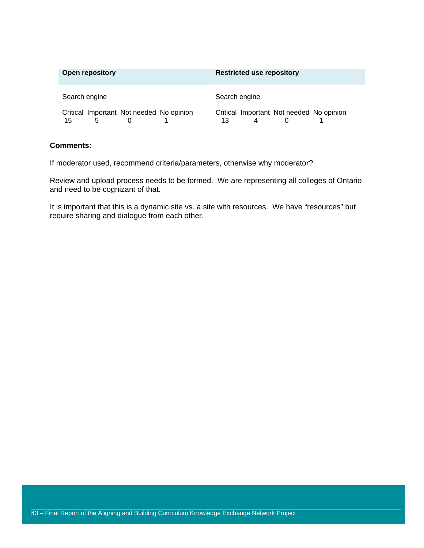| <b>Open repository</b>                              | <b>Restricted use repository</b>               |
|-----------------------------------------------------|------------------------------------------------|
| Search engine                                       | Search engine                                  |
| Critical Important Not needed No opinion<br>15<br>5 | Critical Important Not needed No opinion<br>13 |

#### **Comments:**

If moderator used, recommend criteria/parameters, otherwise why moderator?

Review and upload process needs to be formed. We are representing all colleges of Ontario and need to be cognizant of that.

It is important that this is a dynamic site vs. a site with resources. We have "resources" but require sharing and dialogue from each other.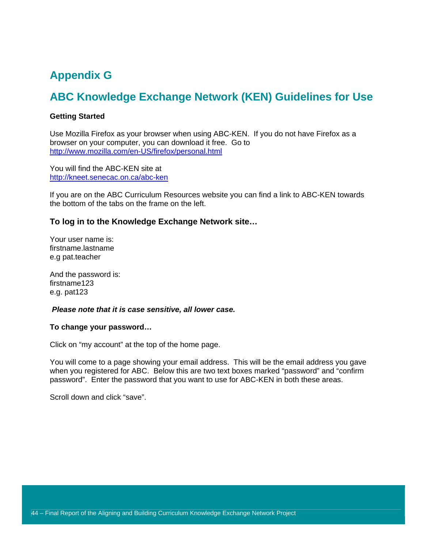### **Appendix G**

### **ABC Knowledge Exchange Network (KEN) Guidelines for Use**

#### **Getting Started**

Use Mozilla Firefox as your browser when using ABC-KEN. If you do not have Firefox as a browser on your computer, you can download it free. Go to http://www.mozilla.com/en-US/firefox/personal.html

You will find the ABC-KEN site at http://kneet.senecac.on.ca/abc-ken

If you are on the ABC Curriculum Resources website you can find a link to ABC-KEN towards the bottom of the tabs on the frame on the left.

#### **To log in to the Knowledge Exchange Network site…**

Your user name is: firstname.lastname e.g pat.teacher

And the password is: firstname123 e.g. pat123

#### *Please note that it is case sensitive, all lower case.*

#### **To change your password…**

Click on "my account" at the top of the home page.

You will come to a page showing your email address. This will be the email address you gave when you registered for ABC. Below this are two text boxes marked "password" and "confirm password". Enter the password that you want to use for ABC-KEN in both these areas.

Scroll down and click "save".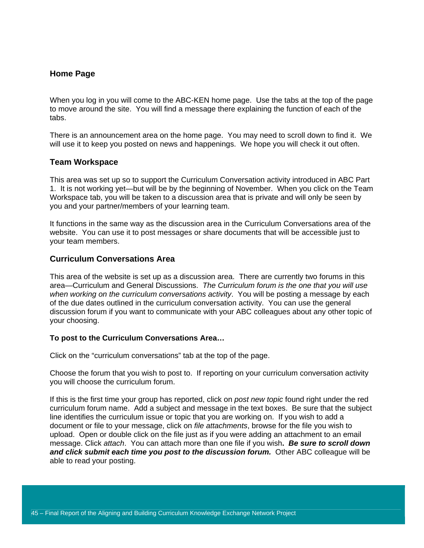#### **Home Page**

When you log in you will come to the ABC-KEN home page. Use the tabs at the top of the page to move around the site. You will find a message there explaining the function of each of the tabs.

There is an announcement area on the home page. You may need to scroll down to find it. We will use it to keep you posted on news and happenings. We hope you will check it out often.

#### **Team Workspace**

This area was set up so to support the Curriculum Conversation activity introduced in ABC Part 1. It is not working yet—but will be by the beginning of November. When you click on the Team Workspace tab, you will be taken to a discussion area that is private and will only be seen by you and your partner/members of your learning team.

It functions in the same way as the discussion area in the Curriculum Conversations area of the website. You can use it to post messages or share documents that will be accessible just to your team members.

#### **Curriculum Conversations Area**

This area of the website is set up as a discussion area. There are currently two forums in this area—Curriculum and General Discussions. *The Curriculum forum is the one that you will use when working on the curriculum conversations activity*. You will be posting a message by each of the due dates outlined in the curriculum conversation activity. You can use the general discussion forum if you want to communicate with your ABC colleagues about any other topic of your choosing.

#### **To post to the Curriculum Conversations Area…**

Click on the "curriculum conversations" tab at the top of the page.

Choose the forum that you wish to post to. If reporting on your curriculum conversation activity you will choose the curriculum forum.

If this is the first time your group has reported, click on *post new topic* found right under the red curriculum forum name. Add a subject and message in the text boxes. Be sure that the subject line identifies the curriculum issue or topic that you are working on. If you wish to add a document or file to your message, click on *file attachments*, browse for the file you wish to upload. Open or double click on the file just as if you were adding an attachment to an email message. Click *attach*. You can attach more than one file if you wish**.** *Be sure to scroll down and click submit each time you post to the discussion forum.* Other ABC colleague will be able to read your posting.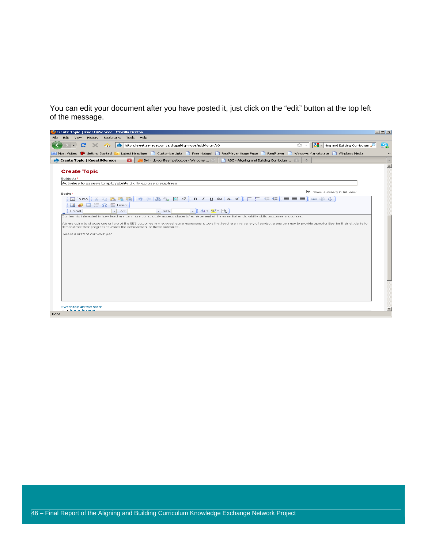You can edit your document after you have posted it, just click on the "edit" button at the top left of the message.

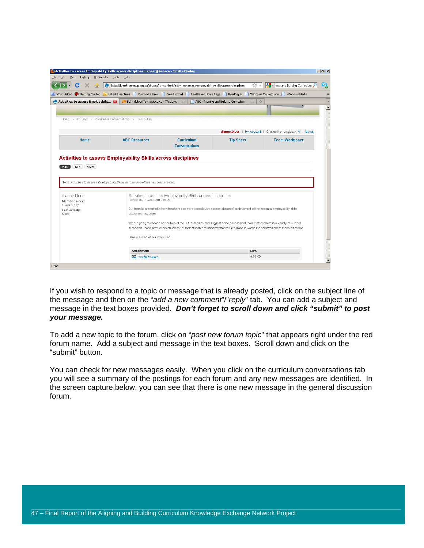| C                                           | http://kneet.senecac.on.ca/drupal/?q=content/activities-assess-employability-skills-across-disciplines                                                      |                                                                                                                                    | $57 -$                                 | <b>A</b> - ning and Building Curriculum                       |
|---------------------------------------------|-------------------------------------------------------------------------------------------------------------------------------------------------------------|------------------------------------------------------------------------------------------------------------------------------------|----------------------------------------|---------------------------------------------------------------|
| 令                                           |                                                                                                                                                             |                                                                                                                                    |                                        |                                                               |
| Most Visited & Getting Started              | Latest Headlines<br>Customize Links     Free Hotmail                                                                                                        | RealPlayer Home Page                                                                                                               | RealPlayer                             | Windows Marketplace<br>Windows Media                          |
| <b>Activities to assess Employabilit Ex</b> | Bell - dbloor@sympatico.ca - Windows                                                                                                                        |                                                                                                                                    | ABC - Aligning and Building Curriculum | $\sigma_{\rm p}^{\rm 2}$                                      |
|                                             |                                                                                                                                                             |                                                                                                                                    |                                        |                                                               |
|                                             |                                                                                                                                                             |                                                                                                                                    |                                        |                                                               |
|                                             | Home > Forums > Curriculum Conversations > Curriculum                                                                                                       |                                                                                                                                    |                                        |                                                               |
|                                             |                                                                                                                                                             |                                                                                                                                    |                                        |                                                               |
|                                             |                                                                                                                                                             |                                                                                                                                    |                                        | dianne.bloor   My Account   Change the fontsize: A A   logout |
| <b>Home</b>                                 | <b>ABC Resources</b>                                                                                                                                        | <b>Curriculum</b>                                                                                                                  | <b>Tip Sheet</b>                       | <b>Team Workspace</b>                                         |
|                                             |                                                                                                                                                             | <b>Conversations</b>                                                                                                               |                                        |                                                               |
| Edit<br>Grant                               | <b>Activities to assess Employability Skills across disciplines</b><br>Topic Activities to assess Employability Skills across disciplines has been created. |                                                                                                                                    |                                        |                                                               |
| <b>Miew</b>                                 |                                                                                                                                                             |                                                                                                                                    |                                        |                                                               |
| dianne.bloor<br>Member since:               | Posted Thu, 10/21/2010 - 16:09                                                                                                                              | Activities to assess Employability Skills across disciplines                                                                       |                                        |                                                               |
| 1 year 1 day<br>Last activity:              |                                                                                                                                                             | Our team is interested in how teachers can more consciously assess students' achievement of the essential employability skills     |                                        |                                                               |
|                                             | outcomes in courses.                                                                                                                                        |                                                                                                                                    |                                        |                                                               |
|                                             |                                                                                                                                                             | We are going to choose one or two of the EES outcomes and suggest some assessment tools that teachers in a variety of subject      |                                        |                                                               |
|                                             |                                                                                                                                                             | areas can use to provide opportunities for their students to demonstrate their progress towards the achievement of these outcomes. |                                        |                                                               |
|                                             | Here is a draft of our work plan.                                                                                                                           |                                                                                                                                    |                                        |                                                               |
|                                             |                                                                                                                                                             |                                                                                                                                    |                                        |                                                               |
| 5 sec                                       | Attachment                                                                                                                                                  |                                                                                                                                    | <b>Size</b>                            |                                                               |

If you wish to respond to a topic or message that is already posted, click on the subject line of the message and then on the "*add a new comment*"/"*reply*" tab. You can add a subject and message in the text boxes provided. *Don't forget to scroll down and click "submit" to post your message.* 

To add a new topic to the forum, click on "*post new forum topic*" that appears right under the red forum name. Add a subject and message in the text boxes. Scroll down and click on the "submit" button.

You can check for new messages easily. When you click on the curriculum conversations tab you will see a summary of the postings for each forum and any new messages are identified. In the screen capture below, you can see that there is one new message in the general discussion forum.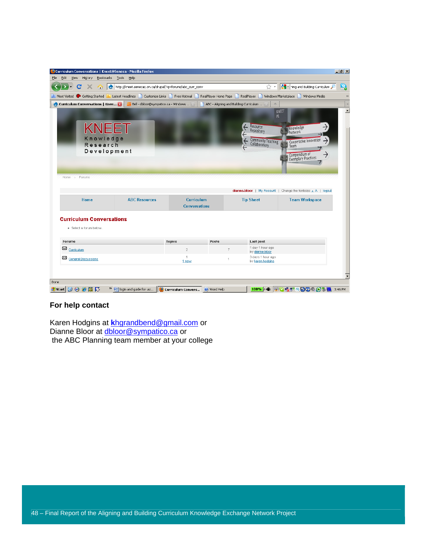|                                                                                    | Curriculum Conversations   Kneet@Seneca - Mozilla Firefox |                                           |                                              |                                                            | $\Box$ e $\times$                                                                                              |
|------------------------------------------------------------------------------------|-----------------------------------------------------------|-------------------------------------------|----------------------------------------------|------------------------------------------------------------|----------------------------------------------------------------------------------------------------------------|
| Edit<br>View<br>History<br>Bookmarks                                               | Tools<br>Help                                             |                                           |                                              |                                                            |                                                                                                                |
| C<br>YRY.                                                                          | http://kneet.senecac.on.ca/drupal/?q=forums/abc_curr_conv |                                           |                                              | ☆ →                                                        | <b>A</b> ing and Building Curriculum                                                                           |
| Most Visited 3 Getting Started M Latest Headlines   Customize Links   Free Hotmail |                                                           |                                           | RealPlayer Home Page                         |                                                            | RealPlayer Windows Marketplace Windows Media                                                                   |
| <b>C</b> Curriculum Conversations   Knee 23                                        | Bell - dbloor@sympatico.ca - Windows                      |                                           | ABC - Aligning and Building Curriculum  [33] | $\sigma_{\rm c}^2$                                         |                                                                                                                |
| KNEET<br>Knowledge<br>Research<br>Development<br>Home > Forums                     |                                                           |                                           |                                              | PI.<br>Resource<br>Repository<br><b>Community Teaching</b> | KNEET<br>Knowledge<br>Network<br>Cooperative Innovation<br>Team<br>Compendium of<br><b>Exemplary Practices</b> |
|                                                                                    |                                                           |                                           |                                              |                                                            |                                                                                                                |
|                                                                                    |                                                           |                                           |                                              |                                                            | <b>dianne.bloor</b>   My Account   Change the fontsize: $A$   logout                                           |
| Home                                                                               | <b>ABC Resources</b>                                      | <b>Curriculum</b><br><b>Conversations</b> |                                              | <b>Tip Sheet</b>                                           | <b>Team Workspace</b>                                                                                          |
| · Select a forum below.<br>Forums                                                  |                                                           | <b>Topics</b>                             | Posts                                        | Last post                                                  |                                                                                                                |
| <b>Curriculum Conversations</b><br>$\boxtimes$ Curriculum                          |                                                           | $\overline{2}$                            | $\overline{7}$                               | 1 day 1 hour ago                                           |                                                                                                                |
| General Discussions                                                                |                                                           | 1<br>1 new                                | $\mathbf{1}$                                 | by dianne.bloor<br>3 days 1 hour ago<br>by karen.hodgins   |                                                                                                                |
|                                                                                    |                                                           |                                           |                                              |                                                            |                                                                                                                |

#### **For help contact**

Karen Hodgins at **k**hgrandbend@gmail.com or Dianne Bloor at **dbloor@sympatico.ca** or the ABC Planning team member at your college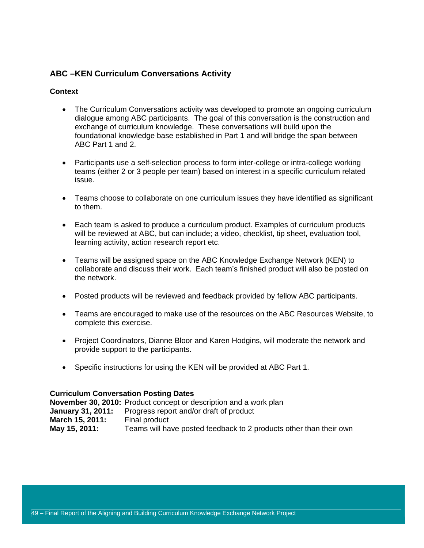#### **ABC –KEN Curriculum Conversations Activity**

#### **Context**

- The Curriculum Conversations activity was developed to promote an ongoing curriculum dialogue among ABC participants. The goal of this conversation is the construction and exchange of curriculum knowledge. These conversations will build upon the foundational knowledge base established in Part 1 and will bridge the span between ABC Part 1 and 2.
- Participants use a self-selection process to form inter-college or intra-college working teams (either 2 or 3 people per team) based on interest in a specific curriculum related issue.
- Teams choose to collaborate on one curriculum issues they have identified as significant to them.
- Each team is asked to produce a curriculum product. Examples of curriculum products will be reviewed at ABC, but can include; a video, checklist, tip sheet, evaluation tool, learning activity, action research report etc.
- Teams will be assigned space on the ABC Knowledge Exchange Network (KEN) to collaborate and discuss their work. Each team's finished product will also be posted on the network.
- Posted products will be reviewed and feedback provided by fellow ABC participants.
- Teams are encouraged to make use of the resources on the ABC Resources Website, to complete this exercise.
- Project Coordinators, Dianne Bloor and Karen Hodgins, will moderate the network and provide support to the participants.
- Specific instructions for using the KEN will be provided at ABC Part 1.

#### **Curriculum Conversation Posting Dates**

**November 30, 2010:** Product concept or description and a work plan **January 31, 2011:** Progress report and/or draft of product **March 15, 2011:** Final product **May 15, 2011:** Teams will have posted feedback to 2 products other than their own